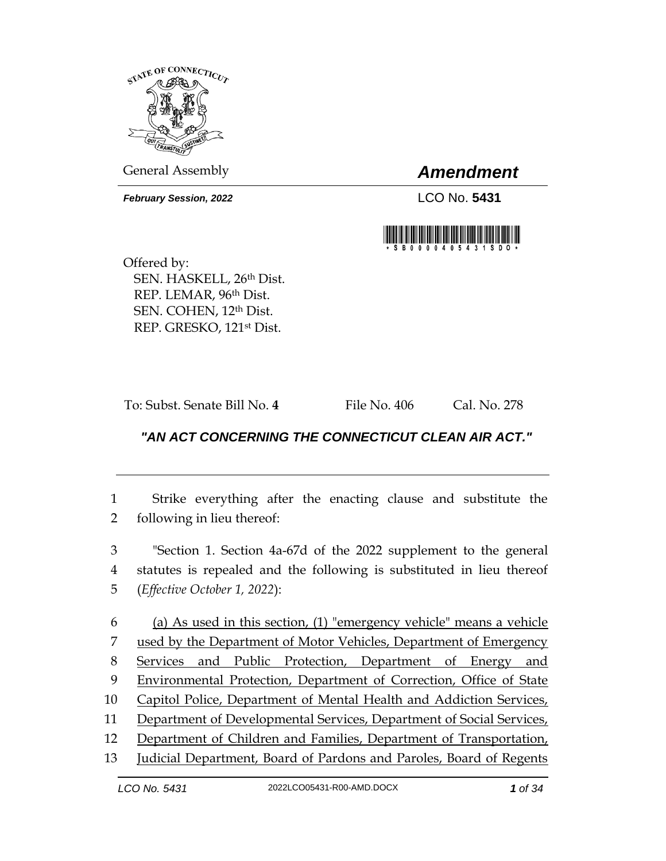

General Assembly *Amendment*

*February Session, 2022* LCO No. **5431**



Offered by: SEN. HASKELL, 26th Dist. REP. LEMAR, 96th Dist. SEN. COHEN, 12th Dist. REP. GRESKO, 121st Dist.

To: Subst. Senate Bill No. **4** File No. 406 Cal. No. 278

## *"AN ACT CONCERNING THE CONNECTICUT CLEAN AIR ACT."*

1 Strike everything after the enacting clause and substitute the 2 following in lieu thereof:

3 "Section 1. Section 4a-67d of the 2022 supplement to the general 4 statutes is repealed and the following is substituted in lieu thereof 5 (*Effective October 1, 2022*):

 (a) As used in this section, (1) "emergency vehicle" means a vehicle used by the Department of Motor Vehicles, Department of Emergency Services and Public Protection, Department of Energy and Environmental Protection, Department of Correction, Office of State Capitol Police, Department of Mental Health and Addiction Services, Department of Developmental Services, Department of Social Services, Department of Children and Families, Department of Transportation,

13 Judicial Department, Board of Pardons and Paroles, Board of Regents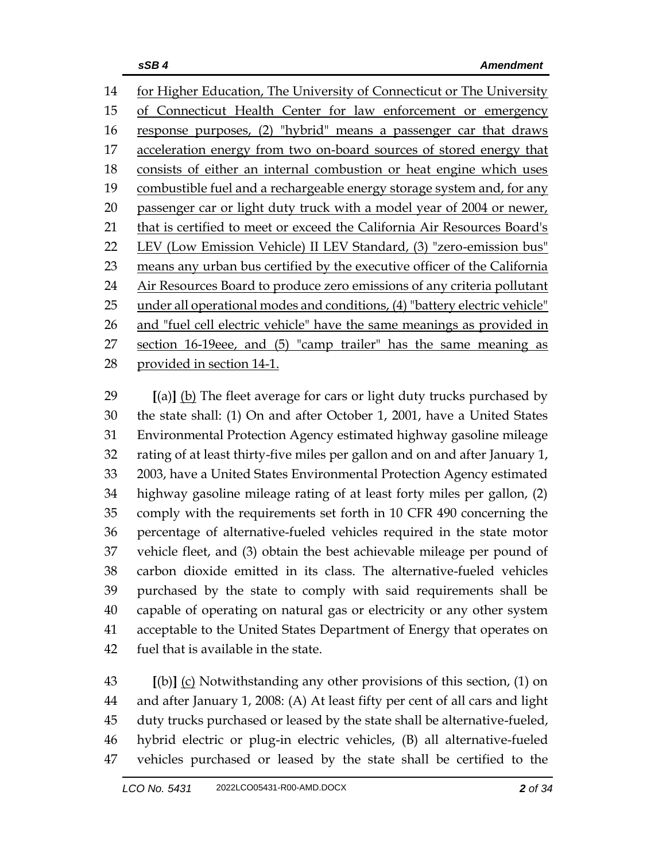for Higher Education, The University of Connecticut or The University of Connecticut Health Center for law enforcement or emergency response purposes, (2) "hybrid" means a passenger car that draws acceleration energy from two on-board sources of stored energy that consists of either an internal combustion or heat engine which uses 19 combustible fuel and a rechargeable energy storage system and, for any 20 passenger car or light duty truck with a model year of 2004 or newer, that is certified to meet or exceed the California Air Resources Board's LEV (Low Emission Vehicle) II LEV Standard, (3) "zero-emission bus" 23 means any urban bus certified by the executive officer of the California 24 Air Resources Board to produce zero emissions of any criteria pollutant 25 under all operational modes and conditions, (4) "battery electric vehicle" 26 and "fuel cell electric vehicle" have the same meanings as provided in section 16-19eee, and (5) "camp trailer" has the same meaning as provided in section 14-1.

 **[**(a)**]** (b) The fleet average for cars or light duty trucks purchased by the state shall: (1) On and after October 1, 2001, have a United States Environmental Protection Agency estimated highway gasoline mileage rating of at least thirty-five miles per gallon and on and after January 1, 2003, have a United States Environmental Protection Agency estimated highway gasoline mileage rating of at least forty miles per gallon, (2) comply with the requirements set forth in 10 CFR 490 concerning the percentage of alternative-fueled vehicles required in the state motor vehicle fleet, and (3) obtain the best achievable mileage per pound of carbon dioxide emitted in its class. The alternative-fueled vehicles purchased by the state to comply with said requirements shall be capable of operating on natural gas or electricity or any other system acceptable to the United States Department of Energy that operates on fuel that is available in the state.

 **[**(b)**]** (c) Notwithstanding any other provisions of this section, (1) on and after January 1, 2008: (A) At least fifty per cent of all cars and light duty trucks purchased or leased by the state shall be alternative-fueled, hybrid electric or plug-in electric vehicles, (B) all alternative-fueled vehicles purchased or leased by the state shall be certified to the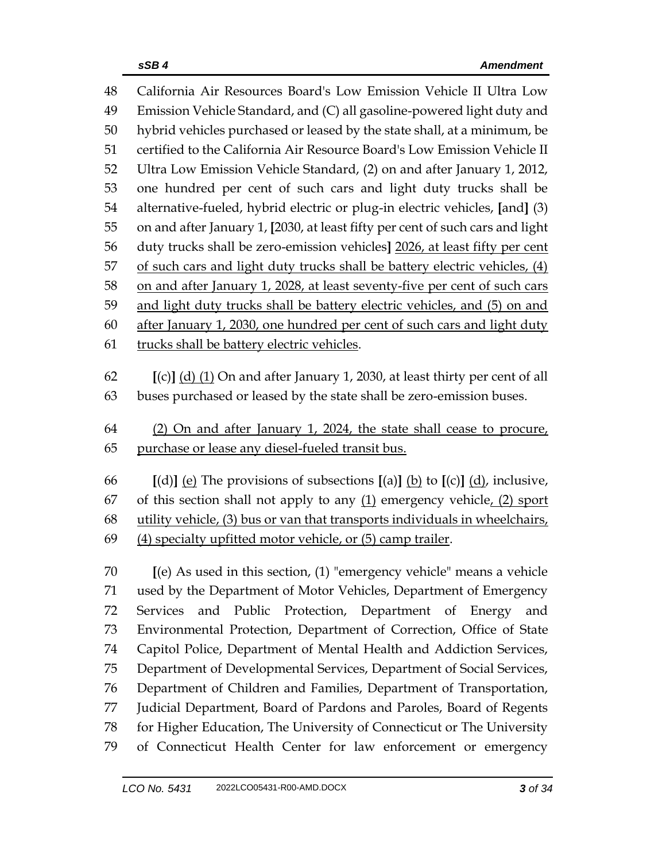| Emission Vehicle Standard, and (C) all gasoline-powered light duty and<br>49                                         |                                                                          |  |
|----------------------------------------------------------------------------------------------------------------------|--------------------------------------------------------------------------|--|
|                                                                                                                      |                                                                          |  |
| hybrid vehicles purchased or leased by the state shall, at a minimum, be<br>50                                       |                                                                          |  |
| certified to the California Air Resource Board's Low Emission Vehicle II<br>51                                       |                                                                          |  |
| 52<br>Ultra Low Emission Vehicle Standard, (2) on and after January 1, 2012,                                         |                                                                          |  |
| one hundred per cent of such cars and light duty trucks shall be<br>53                                               |                                                                          |  |
| 54<br>alternative-fueled, hybrid electric or plug-in electric vehicles, [and] (3)                                    |                                                                          |  |
| on and after January 1, [2030, at least fifty per cent of such cars and light<br>55                                  |                                                                          |  |
| duty trucks shall be zero-emission vehicles] 2026, at least fifty per cent<br>56                                     |                                                                          |  |
| of such cars and light duty trucks shall be battery electric vehicles, (4)<br>57                                     |                                                                          |  |
| 58<br>on and after January 1, 2028, at least seventy-five per cent of such cars                                      |                                                                          |  |
| 59                                                                                                                   | and light duty trucks shall be battery electric vehicles, and (5) on and |  |
| 60<br>after January 1, 2030, one hundred per cent of such cars and light duty                                        |                                                                          |  |
| trucks shall be battery electric vehicles.<br>61                                                                     |                                                                          |  |
|                                                                                                                      |                                                                          |  |
| 62<br>$[(c)]$ (d) (1) On and after January 1, 2030, at least thirty per cent of all                                  |                                                                          |  |
| buses purchased or leased by the state shall be zero-emission buses.<br>63                                           |                                                                          |  |
| 64<br>(2) On and after January 1, 2024, the state shall cease to procure,                                            |                                                                          |  |
| purchase or lease any diesel-fueled transit bus.<br>65                                                               |                                                                          |  |
|                                                                                                                      |                                                                          |  |
| [(d)] <u>(e)</u> The provisions of subsections [(a)] <u>(b)</u> to [(c)] $\underline{d}$ <i>)</i> , inclusive,<br>66 |                                                                          |  |
| of this section shall not apply to any $(1)$ emergency vehicle, $(2)$ sport<br>67                                    |                                                                          |  |
| utility vehicle, (3) bus or van that transports individuals in wheelchairs,<br>68                                    |                                                                          |  |
| (4) specialty upfitted motor vehicle, or (5) camp trailer.<br>69                                                     |                                                                          |  |
| [(e) As used in this section, (1) "emergency vehicle" means a vehicle<br>70                                          |                                                                          |  |
| 71<br>used by the Department of Motor Vehicles, Department of Emergency                                              |                                                                          |  |
| and Public Protection, Department of Energy<br>72<br><b>Services</b>                                                 | and                                                                      |  |
| 73<br>Environmental Protection, Department of Correction, Office of State                                            |                                                                          |  |
| Capitol Police, Department of Mental Health and Addiction Services,<br>74                                            |                                                                          |  |
| 75<br>Department of Developmental Services, Department of Social Services,                                           |                                                                          |  |
| Department of Children and Families, Department of Transportation,<br>76                                             |                                                                          |  |
| Judicial Department, Board of Pardons and Paroles, Board of Regents<br>77                                            |                                                                          |  |
| for Higher Education, The University of Connecticut or The University<br>78                                          |                                                                          |  |
|                                                                                                                      |                                                                          |  |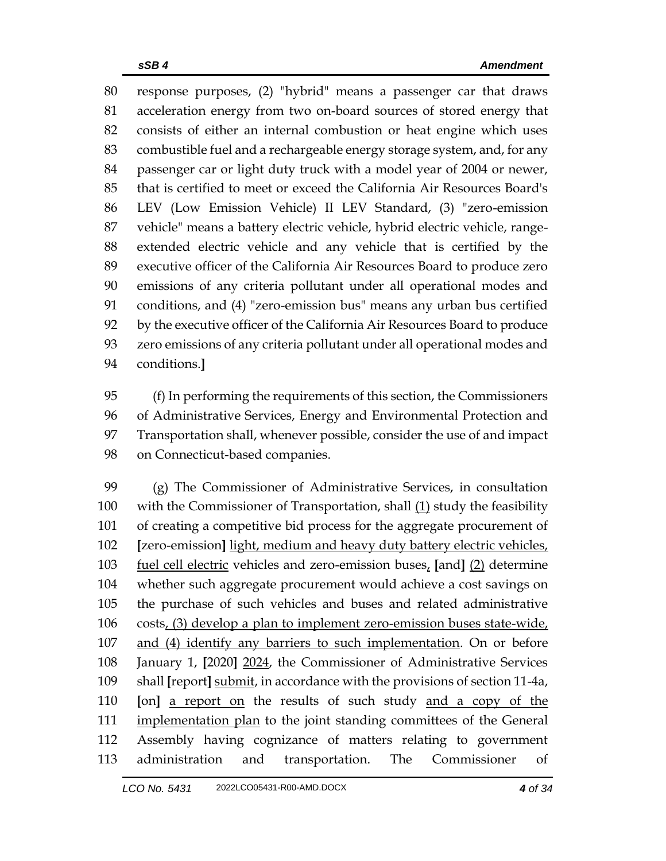response purposes, (2) "hybrid" means a passenger car that draws acceleration energy from two on-board sources of stored energy that consists of either an internal combustion or heat engine which uses combustible fuel and a rechargeable energy storage system, and, for any passenger car or light duty truck with a model year of 2004 or newer, that is certified to meet or exceed the California Air Resources Board's LEV (Low Emission Vehicle) II LEV Standard, (3) "zero-emission vehicle" means a battery electric vehicle, hybrid electric vehicle, range- extended electric vehicle and any vehicle that is certified by the executive officer of the California Air Resources Board to produce zero emissions of any criteria pollutant under all operational modes and conditions, and (4) "zero-emission bus" means any urban bus certified by the executive officer of the California Air Resources Board to produce zero emissions of any criteria pollutant under all operational modes and conditions.**]**

 (f) In performing the requirements of this section, the Commissioners of Administrative Services, Energy and Environmental Protection and Transportation shall, whenever possible, consider the use of and impact on Connecticut-based companies.

 (g) The Commissioner of Administrative Services, in consultation 100 with the Commissioner of Transportation, shall  $(1)$  study the feasibility of creating a competitive bid process for the aggregate procurement of **[**zero-emission**]** light, medium and heavy duty battery electric vehicles, fuel cell electric vehicles and zero-emission buses, **[**and**]** (2) determine whether such aggregate procurement would achieve a cost savings on the purchase of such vehicles and buses and related administrative costs, (3) develop a plan to implement zero-emission buses state-wide, and (4) identify any barriers to such implementation. On or before January 1, **[**2020**]** 2024, the Commissioner of Administrative Services shall **[**report**]** submit, in accordance with the provisions of section 11-4a, **[**on**]** a report on the results of such study and a copy of the 111 implementation plan to the joint standing committees of the General Assembly having cognizance of matters relating to government administration and transportation. The Commissioner of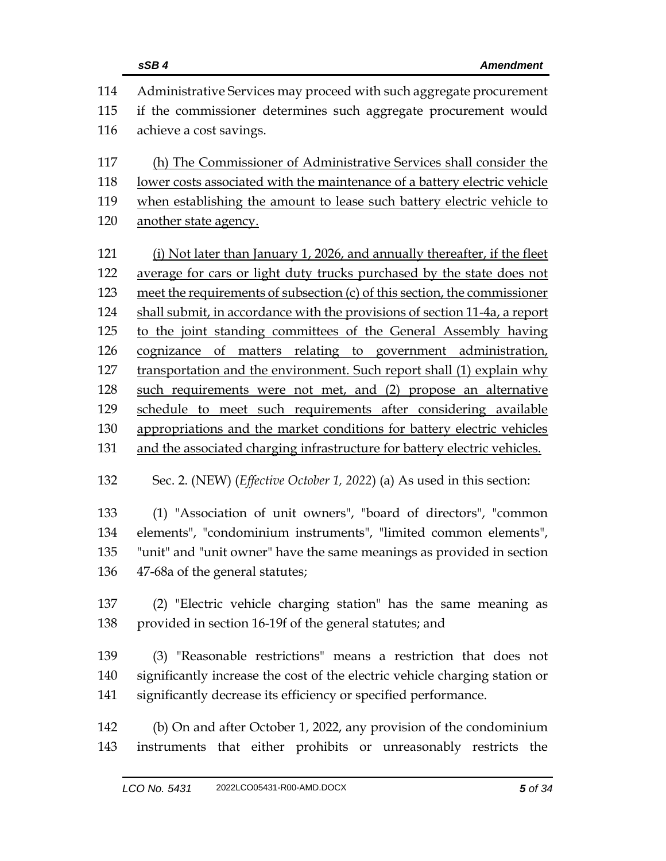|     | sSB4<br><b>Amendment</b>                                                        |
|-----|---------------------------------------------------------------------------------|
| 114 | Administrative Services may proceed with such aggregate procurement             |
| 115 | if the commissioner determines such aggregate procurement would                 |
| 116 | achieve a cost savings.                                                         |
| 117 | (h) The Commissioner of Administrative Services shall consider the              |
| 118 | lower costs associated with the maintenance of a battery electric vehicle       |
| 119 | when establishing the amount to lease such battery electric vehicle to          |
| 120 | another state agency.                                                           |
| 121 | (i) Not later than January 1, 2026, and annually thereafter, if the fleet       |
| 122 | average for cars or light duty trucks purchased by the state does not           |
| 123 | meet the requirements of subsection (c) of this section, the commissioner       |
| 124 | shall submit, in accordance with the provisions of section 11-4a, a report      |
| 125 | to the joint standing committees of the General Assembly having                 |
| 126 | cognizance of matters relating to government administration,                    |
| 127 | transportation and the environment. Such report shall (1) explain why           |
| 128 | such requirements were not met, and (2) propose an alternative                  |
| 129 | schedule to meet such requirements after considering available                  |
| 130 | appropriations and the market conditions for battery electric vehicles          |
| 131 | and the associated charging infrastructure for battery electric vehicles.       |
| 132 | Sec. 2. (NEW) ( <i>Effective October 1, 2022</i> ) (a) As used in this section: |
| 133 | (1) "Association of unit owners", "board of directors", "common                 |
| 134 | elements", "condominium instruments", "limited common elements",                |
| 135 | "unit" and "unit owner" have the same meanings as provided in section           |
| 136 | 47-68a of the general statutes;                                                 |
| 137 | (2) "Electric vehicle charging station" has the same meaning as                 |
| 138 | provided in section 16-19f of the general statutes; and                         |
| 139 | (3) "Reasonable restrictions" means a restriction that does not                 |
| 140 | significantly increase the cost of the electric vehicle charging station or     |
| 141 | significantly decrease its efficiency or specified performance.                 |
| 142 | (b) On and after October 1, 2022, any provision of the condominium              |
| 143 | instruments that either prohibits or unreasonably restricts the                 |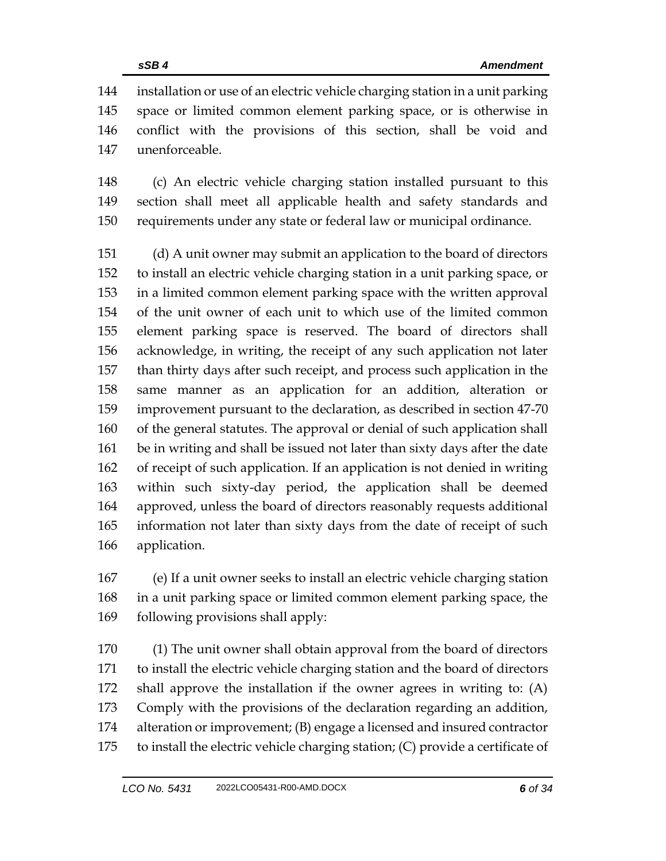installation or use of an electric vehicle charging station in a unit parking space or limited common element parking space, or is otherwise in conflict with the provisions of this section, shall be void and unenforceable.

 (c) An electric vehicle charging station installed pursuant to this section shall meet all applicable health and safety standards and requirements under any state or federal law or municipal ordinance.

 (d) A unit owner may submit an application to the board of directors to install an electric vehicle charging station in a unit parking space, or in a limited common element parking space with the written approval of the unit owner of each unit to which use of the limited common element parking space is reserved. The board of directors shall acknowledge, in writing, the receipt of any such application not later than thirty days after such receipt, and process such application in the same manner as an application for an addition, alteration or improvement pursuant to the declaration, as described in section 47-70 of the general statutes. The approval or denial of such application shall be in writing and shall be issued not later than sixty days after the date of receipt of such application. If an application is not denied in writing within such sixty-day period, the application shall be deemed approved, unless the board of directors reasonably requests additional information not later than sixty days from the date of receipt of such application.

 (e) If a unit owner seeks to install an electric vehicle charging station in a unit parking space or limited common element parking space, the following provisions shall apply:

 (1) The unit owner shall obtain approval from the board of directors to install the electric vehicle charging station and the board of directors shall approve the installation if the owner agrees in writing to: (A) Comply with the provisions of the declaration regarding an addition, alteration or improvement; (B) engage a licensed and insured contractor to install the electric vehicle charging station; (C) provide a certificate of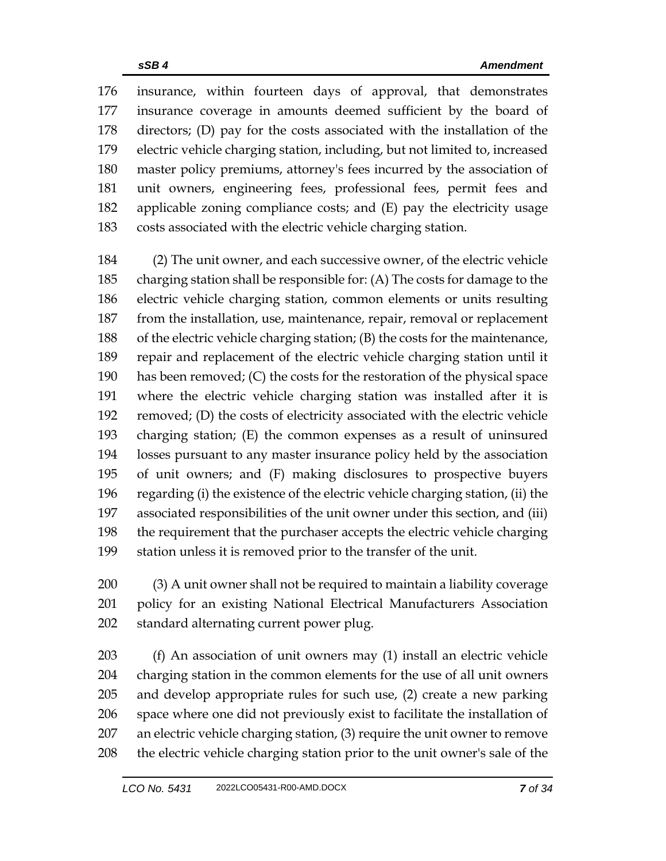insurance, within fourteen days of approval, that demonstrates insurance coverage in amounts deemed sufficient by the board of directors; (D) pay for the costs associated with the installation of the electric vehicle charging station, including, but not limited to, increased master policy premiums, attorney's fees incurred by the association of unit owners, engineering fees, professional fees, permit fees and applicable zoning compliance costs; and (E) pay the electricity usage costs associated with the electric vehicle charging station.

 (2) The unit owner, and each successive owner, of the electric vehicle charging station shall be responsible for: (A) The costs for damage to the electric vehicle charging station, common elements or units resulting from the installation, use, maintenance, repair, removal or replacement of the electric vehicle charging station; (B) the costs for the maintenance, repair and replacement of the electric vehicle charging station until it has been removed; (C) the costs for the restoration of the physical space where the electric vehicle charging station was installed after it is removed; (D) the costs of electricity associated with the electric vehicle charging station; (E) the common expenses as a result of uninsured losses pursuant to any master insurance policy held by the association of unit owners; and (F) making disclosures to prospective buyers regarding (i) the existence of the electric vehicle charging station, (ii) the associated responsibilities of the unit owner under this section, and (iii) the requirement that the purchaser accepts the electric vehicle charging station unless it is removed prior to the transfer of the unit.

 (3) A unit owner shall not be required to maintain a liability coverage policy for an existing National Electrical Manufacturers Association standard alternating current power plug.

 (f) An association of unit owners may (1) install an electric vehicle charging station in the common elements for the use of all unit owners and develop appropriate rules for such use, (2) create a new parking space where one did not previously exist to facilitate the installation of an electric vehicle charging station, (3) require the unit owner to remove the electric vehicle charging station prior to the unit owner's sale of the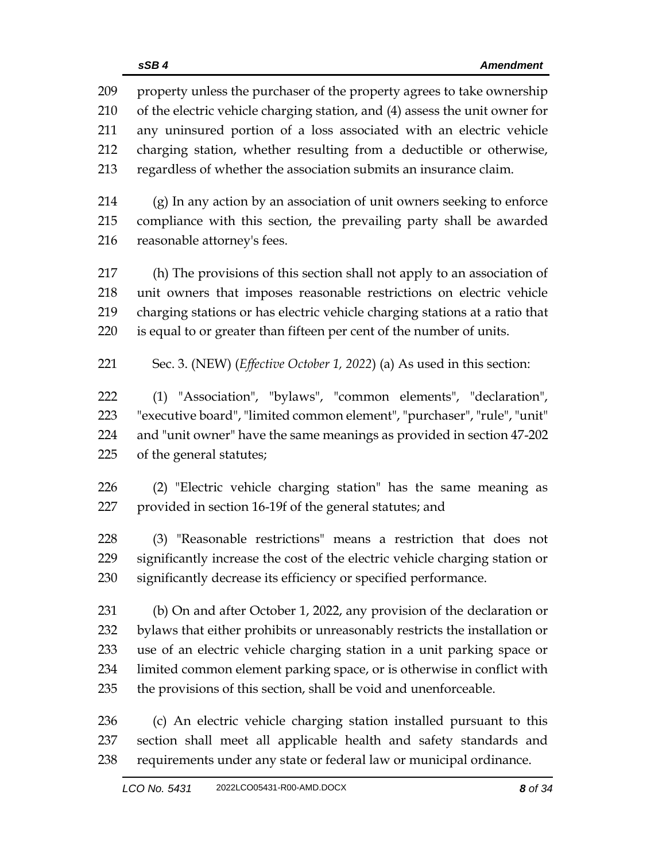property unless the purchaser of the property agrees to take ownership of the electric vehicle charging station, and (4) assess the unit owner for any uninsured portion of a loss associated with an electric vehicle charging station, whether resulting from a deductible or otherwise, regardless of whether the association submits an insurance claim.

 (g) In any action by an association of unit owners seeking to enforce compliance with this section, the prevailing party shall be awarded reasonable attorney's fees.

 (h) The provisions of this section shall not apply to an association of unit owners that imposes reasonable restrictions on electric vehicle charging stations or has electric vehicle charging stations at a ratio that is equal to or greater than fifteen per cent of the number of units.

Sec. 3. (NEW) (*Effective October 1, 2022*) (a) As used in this section:

 (1) "Association", "bylaws", "common elements", "declaration", "executive board", "limited common element", "purchaser", "rule", "unit" and "unit owner" have the same meanings as provided in section 47-202 of the general statutes;

 (2) "Electric vehicle charging station" has the same meaning as provided in section 16-19f of the general statutes; and

 (3) "Reasonable restrictions" means a restriction that does not significantly increase the cost of the electric vehicle charging station or significantly decrease its efficiency or specified performance.

 (b) On and after October 1, 2022, any provision of the declaration or bylaws that either prohibits or unreasonably restricts the installation or use of an electric vehicle charging station in a unit parking space or limited common element parking space, or is otherwise in conflict with the provisions of this section, shall be void and unenforceable.

 (c) An electric vehicle charging station installed pursuant to this section shall meet all applicable health and safety standards and requirements under any state or federal law or municipal ordinance.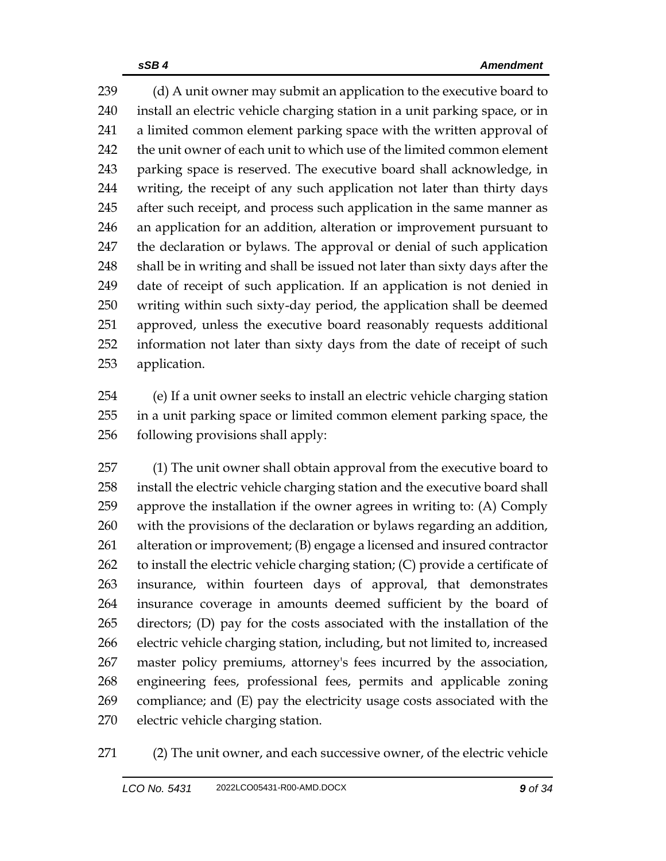239 (d) A unit owner may submit an application to the executive board to install an electric vehicle charging station in a unit parking space, or in a limited common element parking space with the written approval of the unit owner of each unit to which use of the limited common element parking space is reserved. The executive board shall acknowledge, in writing, the receipt of any such application not later than thirty days 245 after such receipt, and process such application in the same manner as an application for an addition, alteration or improvement pursuant to the declaration or bylaws. The approval or denial of such application shall be in writing and shall be issued not later than sixty days after the date of receipt of such application. If an application is not denied in writing within such sixty-day period, the application shall be deemed approved, unless the executive board reasonably requests additional information not later than sixty days from the date of receipt of such application.

 (e) If a unit owner seeks to install an electric vehicle charging station in a unit parking space or limited common element parking space, the following provisions shall apply:

 (1) The unit owner shall obtain approval from the executive board to install the electric vehicle charging station and the executive board shall approve the installation if the owner agrees in writing to: (A) Comply with the provisions of the declaration or bylaws regarding an addition, alteration or improvement; (B) engage a licensed and insured contractor to install the electric vehicle charging station; (C) provide a certificate of insurance, within fourteen days of approval, that demonstrates insurance coverage in amounts deemed sufficient by the board of directors; (D) pay for the costs associated with the installation of the electric vehicle charging station, including, but not limited to, increased master policy premiums, attorney's fees incurred by the association, engineering fees, professional fees, permits and applicable zoning compliance; and (E) pay the electricity usage costs associated with the electric vehicle charging station.

(2) The unit owner, and each successive owner, of the electric vehicle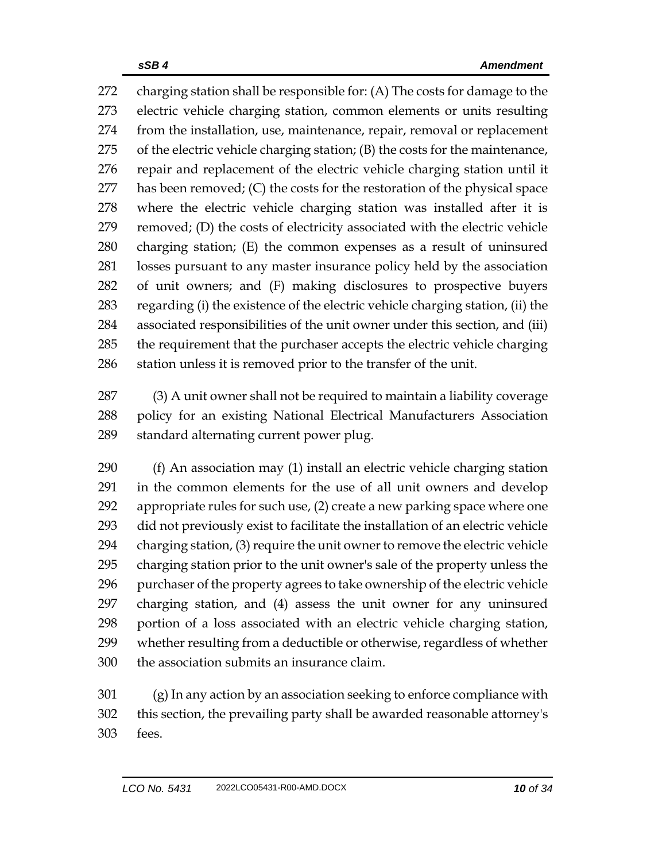charging station shall be responsible for: (A) The costs for damage to the electric vehicle charging station, common elements or units resulting from the installation, use, maintenance, repair, removal or replacement of the electric vehicle charging station; (B) the costs for the maintenance, repair and replacement of the electric vehicle charging station until it has been removed; (C) the costs for the restoration of the physical space where the electric vehicle charging station was installed after it is removed; (D) the costs of electricity associated with the electric vehicle charging station; (E) the common expenses as a result of uninsured losses pursuant to any master insurance policy held by the association of unit owners; and (F) making disclosures to prospective buyers regarding (i) the existence of the electric vehicle charging station, (ii) the associated responsibilities of the unit owner under this section, and (iii) the requirement that the purchaser accepts the electric vehicle charging station unless it is removed prior to the transfer of the unit.

 (3) A unit owner shall not be required to maintain a liability coverage policy for an existing National Electrical Manufacturers Association standard alternating current power plug.

 (f) An association may (1) install an electric vehicle charging station in the common elements for the use of all unit owners and develop appropriate rules for such use, (2) create a new parking space where one did not previously exist to facilitate the installation of an electric vehicle charging station, (3) require the unit owner to remove the electric vehicle charging station prior to the unit owner's sale of the property unless the purchaser of the property agrees to take ownership of the electric vehicle charging station, and (4) assess the unit owner for any uninsured portion of a loss associated with an electric vehicle charging station, whether resulting from a deductible or otherwise, regardless of whether the association submits an insurance claim.

 (g) In any action by an association seeking to enforce compliance with this section, the prevailing party shall be awarded reasonable attorney's fees.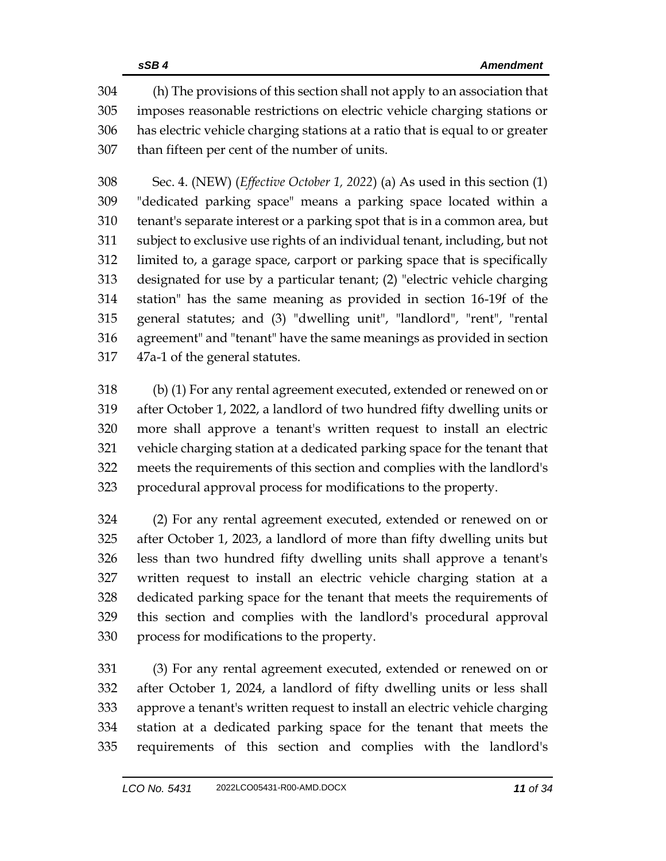(h) The provisions of this section shall not apply to an association that imposes reasonable restrictions on electric vehicle charging stations or has electric vehicle charging stations at a ratio that is equal to or greater than fifteen per cent of the number of units.

 Sec. 4. (NEW) (*Effective October 1, 2022*) (a) As used in this section (1) "dedicated parking space" means a parking space located within a tenant's separate interest or a parking spot that is in a common area, but subject to exclusive use rights of an individual tenant, including, but not limited to, a garage space, carport or parking space that is specifically designated for use by a particular tenant; (2) "electric vehicle charging station" has the same meaning as provided in section 16-19f of the general statutes; and (3) "dwelling unit", "landlord", "rent", "rental agreement" and "tenant" have the same meanings as provided in section 47a-1 of the general statutes.

 (b) (1) For any rental agreement executed, extended or renewed on or after October 1, 2022, a landlord of two hundred fifty dwelling units or more shall approve a tenant's written request to install an electric vehicle charging station at a dedicated parking space for the tenant that meets the requirements of this section and complies with the landlord's procedural approval process for modifications to the property.

 (2) For any rental agreement executed, extended or renewed on or after October 1, 2023, a landlord of more than fifty dwelling units but less than two hundred fifty dwelling units shall approve a tenant's written request to install an electric vehicle charging station at a dedicated parking space for the tenant that meets the requirements of this section and complies with the landlord's procedural approval process for modifications to the property.

 (3) For any rental agreement executed, extended or renewed on or after October 1, 2024, a landlord of fifty dwelling units or less shall approve a tenant's written request to install an electric vehicle charging station at a dedicated parking space for the tenant that meets the requirements of this section and complies with the landlord's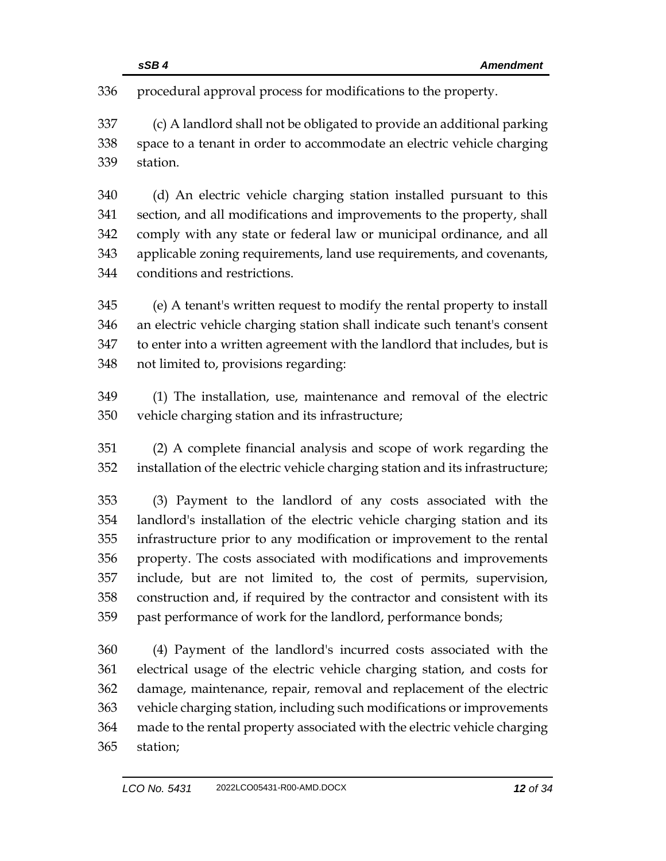procedural approval process for modifications to the property.

 (c) A landlord shall not be obligated to provide an additional parking space to a tenant in order to accommodate an electric vehicle charging station.

 (d) An electric vehicle charging station installed pursuant to this section, and all modifications and improvements to the property, shall comply with any state or federal law or municipal ordinance, and all applicable zoning requirements, land use requirements, and covenants, conditions and restrictions.

 (e) A tenant's written request to modify the rental property to install an electric vehicle charging station shall indicate such tenant's consent to enter into a written agreement with the landlord that includes, but is not limited to, provisions regarding:

 (1) The installation, use, maintenance and removal of the electric vehicle charging station and its infrastructure;

 (2) A complete financial analysis and scope of work regarding the installation of the electric vehicle charging station and its infrastructure;

 (3) Payment to the landlord of any costs associated with the landlord's installation of the electric vehicle charging station and its infrastructure prior to any modification or improvement to the rental property. The costs associated with modifications and improvements include, but are not limited to, the cost of permits, supervision, construction and, if required by the contractor and consistent with its past performance of work for the landlord, performance bonds;

 (4) Payment of the landlord's incurred costs associated with the electrical usage of the electric vehicle charging station, and costs for damage, maintenance, repair, removal and replacement of the electric vehicle charging station, including such modifications or improvements made to the rental property associated with the electric vehicle charging station;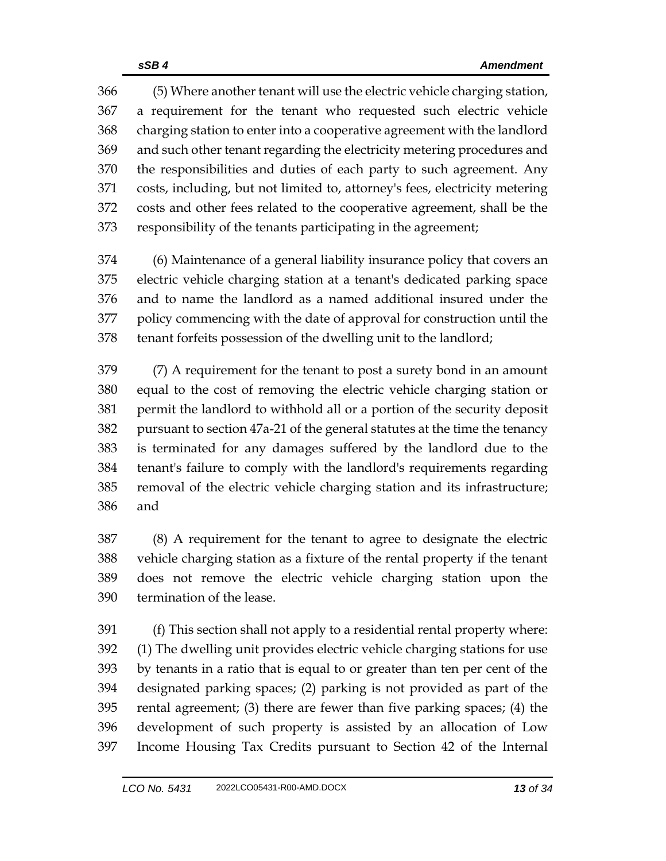(5) Where another tenant will use the electric vehicle charging station, a requirement for the tenant who requested such electric vehicle charging station to enter into a cooperative agreement with the landlord and such other tenant regarding the electricity metering procedures and the responsibilities and duties of each party to such agreement. Any costs, including, but not limited to, attorney's fees, electricity metering costs and other fees related to the cooperative agreement, shall be the responsibility of the tenants participating in the agreement;

 (6) Maintenance of a general liability insurance policy that covers an electric vehicle charging station at a tenant's dedicated parking space and to name the landlord as a named additional insured under the policy commencing with the date of approval for construction until the tenant forfeits possession of the dwelling unit to the landlord;

 (7) A requirement for the tenant to post a surety bond in an amount equal to the cost of removing the electric vehicle charging station or permit the landlord to withhold all or a portion of the security deposit pursuant to section 47a-21 of the general statutes at the time the tenancy is terminated for any damages suffered by the landlord due to the tenant's failure to comply with the landlord's requirements regarding removal of the electric vehicle charging station and its infrastructure; and

 (8) A requirement for the tenant to agree to designate the electric vehicle charging station as a fixture of the rental property if the tenant does not remove the electric vehicle charging station upon the termination of the lease.

 (f) This section shall not apply to a residential rental property where: (1) The dwelling unit provides electric vehicle charging stations for use by tenants in a ratio that is equal to or greater than ten per cent of the designated parking spaces; (2) parking is not provided as part of the rental agreement; (3) there are fewer than five parking spaces; (4) the development of such property is assisted by an allocation of Low Income Housing Tax Credits pursuant to Section 42 of the Internal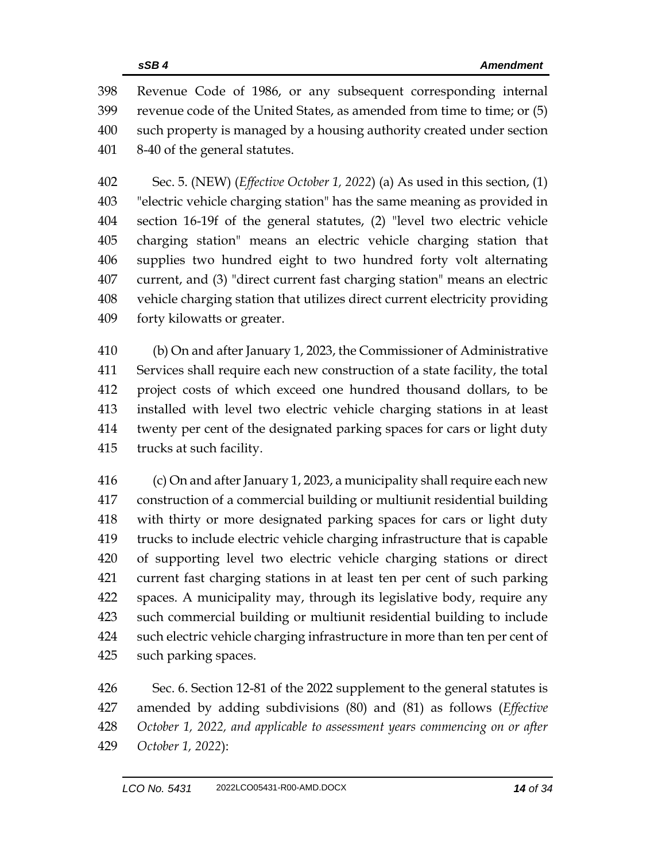Revenue Code of 1986, or any subsequent corresponding internal revenue code of the United States, as amended from time to time; or (5) such property is managed by a housing authority created under section 8-40 of the general statutes.

 Sec. 5. (NEW) (*Effective October 1, 2022*) (a) As used in this section, (1) "electric vehicle charging station" has the same meaning as provided in section 16-19f of the general statutes, (2) "level two electric vehicle charging station" means an electric vehicle charging station that supplies two hundred eight to two hundred forty volt alternating current, and (3) "direct current fast charging station" means an electric vehicle charging station that utilizes direct current electricity providing forty kilowatts or greater.

 (b) On and after January 1, 2023, the Commissioner of Administrative Services shall require each new construction of a state facility, the total project costs of which exceed one hundred thousand dollars, to be installed with level two electric vehicle charging stations in at least twenty per cent of the designated parking spaces for cars or light duty trucks at such facility.

 (c) On and after January 1, 2023, a municipality shall require each new construction of a commercial building or multiunit residential building with thirty or more designated parking spaces for cars or light duty trucks to include electric vehicle charging infrastructure that is capable of supporting level two electric vehicle charging stations or direct current fast charging stations in at least ten per cent of such parking spaces. A municipality may, through its legislative body, require any such commercial building or multiunit residential building to include such electric vehicle charging infrastructure in more than ten per cent of such parking spaces.

 Sec. 6. Section 12-81 of the 2022 supplement to the general statutes is amended by adding subdivisions (80) and (81) as follows (*Effective October 1, 2022, and applicable to assessment years commencing on or after October 1, 2022*):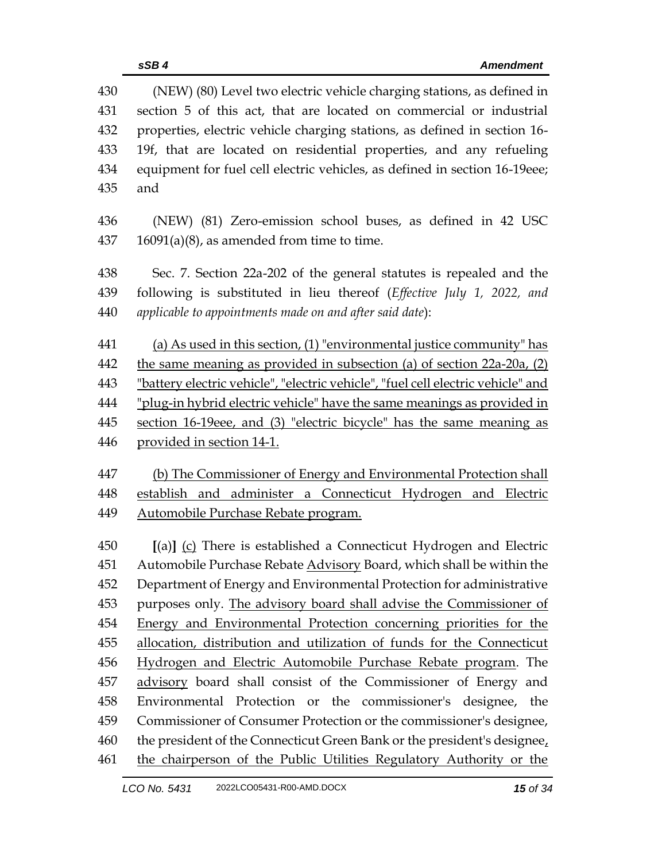| 430 | (NEW) (80) Level two electric vehicle charging stations, as defined in           |  |  |
|-----|----------------------------------------------------------------------------------|--|--|
| 431 | section 5 of this act, that are located on commercial or industrial              |  |  |
| 432 | properties, electric vehicle charging stations, as defined in section 16-        |  |  |
| 433 | 19f, that are located on residential properties, and any refueling               |  |  |
| 434 | equipment for fuel cell electric vehicles, as defined in section 16-19eee;       |  |  |
| 435 | and                                                                              |  |  |
| 436 | (NEW) (81) Zero-emission school buses, as defined in 42 USC                      |  |  |
| 437 | $16091(a)(8)$ , as amended from time to time.                                    |  |  |
| 438 | Sec. 7. Section 22a-202 of the general statutes is repealed and the              |  |  |
| 439 | following is substituted in lieu thereof (Effective July 1, 2022, and            |  |  |
| 440 | applicable to appointments made on and after said date):                         |  |  |
| 441 | (a) As used in this section, $(1)$ "environmental justice community" has         |  |  |
| 442 | the same meaning as provided in subsection (a) of section 22a-20a, (2)           |  |  |
| 443 | "battery electric vehicle", "electric vehicle", "fuel cell electric vehicle" and |  |  |
| 444 | "plug-in hybrid electric vehicle" have the same meanings as provided in          |  |  |
| 445 | section 16-19eee, and (3) "electric bicycle" has the same meaning as             |  |  |
| 446 | provided in section 14-1.                                                        |  |  |
| 447 | (b) The Commissioner of Energy and Environmental Protection shall                |  |  |
| 448 | establish and administer a Connecticut Hydrogen and Electric                     |  |  |
| 449 | <u>Automobile Purchase Rebate program.</u>                                       |  |  |
| 450 | [(a)] (c) There is established a Connecticut Hydrogen and Electric               |  |  |
| 451 | Automobile Purchase Rebate Advisory Board, which shall be within the             |  |  |
| 452 | Department of Energy and Environmental Protection for administrative             |  |  |
| 453 | purposes only. The advisory board shall advise the Commissioner of               |  |  |
| 454 | Energy and Environmental Protection concerning priorities for the                |  |  |
| 455 | allocation, distribution and utilization of funds for the Connecticut            |  |  |
| 456 | Hydrogen and Electric Automobile Purchase Rebate program. The                    |  |  |
| 457 | advisory board shall consist of the Commissioner of Energy and                   |  |  |
| 458 | Environmental Protection or the commissioner's designee, the                     |  |  |
| 459 | Commissioner of Consumer Protection or the commissioner's designee,              |  |  |
| 460 | the president of the Connecticut Green Bank or the president's designee,         |  |  |
| 461 | the chairperson of the Public Utilities Regulatory Authority or the              |  |  |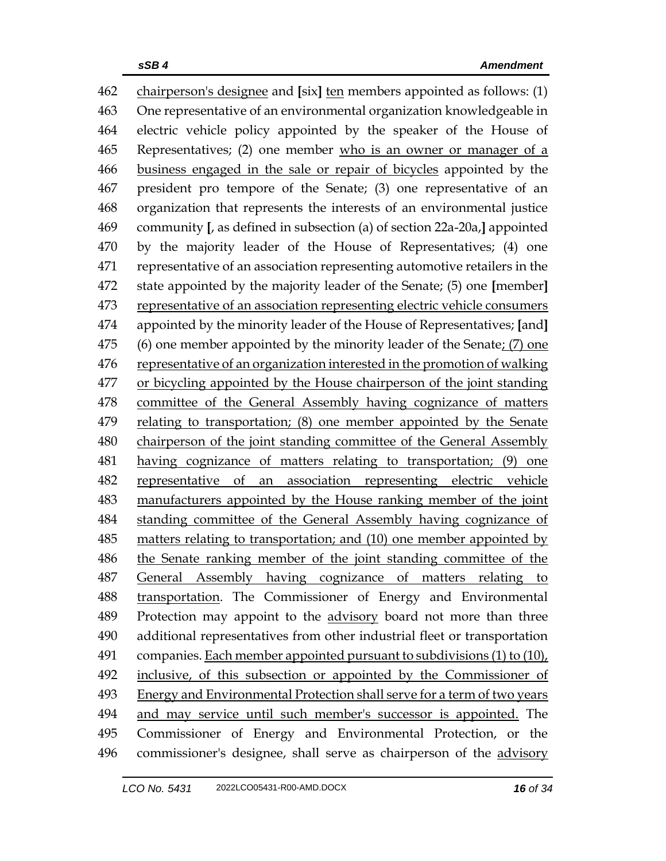chairperson's designee and **[**six**]** ten members appointed as follows: (1) One representative of an environmental organization knowledgeable in electric vehicle policy appointed by the speaker of the House of Representatives; (2) one member who is an owner or manager of a business engaged in the sale or repair of bicycles appointed by the president pro tempore of the Senate; (3) one representative of an organization that represents the interests of an environmental justice community **[**, as defined in subsection (a) of section 22a-20a,**]** appointed by the majority leader of the House of Representatives; (4) one representative of an association representing automotive retailers in the state appointed by the majority leader of the Senate; (5) one **[**member**]** representative of an association representing electric vehicle consumers appointed by the minority leader of the House of Representatives; **[**and**]** (6) one member appointed by the minority leader of the Senate; (7) one representative of an organization interested in the promotion of walking or bicycling appointed by the House chairperson of the joint standing committee of the General Assembly having cognizance of matters relating to transportation; (8) one member appointed by the Senate chairperson of the joint standing committee of the General Assembly having cognizance of matters relating to transportation; (9) one representative of an association representing electric vehicle manufacturers appointed by the House ranking member of the joint standing committee of the General Assembly having cognizance of matters relating to transportation; and (10) one member appointed by 486 the Senate ranking member of the joint standing committee of the General Assembly having cognizance of matters relating to transportation. The Commissioner of Energy and Environmental Protection may appoint to the advisory board not more than three additional representatives from other industrial fleet or transportation companies. Each member appointed pursuant to subdivisions (1) to (10), 492 inclusive, of this subsection or appointed by the Commissioner of Energy and Environmental Protection shall serve for a term of two years and may service until such member's successor is appointed. The Commissioner of Energy and Environmental Protection, or the 496 commissioner's designee, shall serve as chairperson of the advisory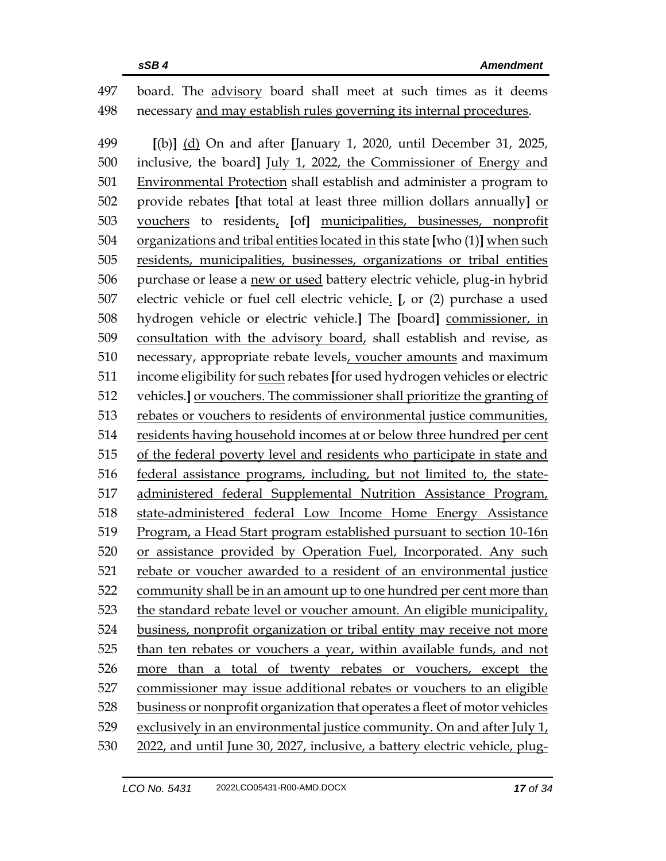## board. The advisory board shall meet at such times as it deems necessary and may establish rules governing its internal procedures.

 **[**(b)**]** (d) On and after **[**January 1, 2020, until December 31, 2025, inclusive, the board**]** July 1, 2022, the Commissioner of Energy and Environmental Protection shall establish and administer a program to provide rebates **[**that total at least three million dollars annually**]** or vouchers to residents, **[**of**]** municipalities, businesses, nonprofit organizations and tribal entities located in this state **[**who (1)**]** when such residents, municipalities, businesses, organizations or tribal entities purchase or lease a new or used battery electric vehicle, plug-in hybrid electric vehicle or fuel cell electric vehicle. **[**, or (2) purchase a used hydrogen vehicle or electric vehicle.**]** The **[**board**]** commissioner, in consultation with the advisory board, shall establish and revise, as necessary, appropriate rebate levels, voucher amounts and maximum income eligibility for such rebates **[**for used hydrogen vehicles or electric vehicles.**]** or vouchers. The commissioner shall prioritize the granting of rebates or vouchers to residents of environmental justice communities, residents having household incomes at or below three hundred per cent of the federal poverty level and residents who participate in state and federal assistance programs, including, but not limited to, the state- administered federal Supplemental Nutrition Assistance Program, state-administered federal Low Income Home Energy Assistance Program, a Head Start program established pursuant to section 10-16n or assistance provided by Operation Fuel, Incorporated. Any such rebate or voucher awarded to a resident of an environmental justice community shall be in an amount up to one hundred per cent more than the standard rebate level or voucher amount. An eligible municipality, business, nonprofit organization or tribal entity may receive not more than ten rebates or vouchers a year, within available funds, and not more than a total of twenty rebates or vouchers, except the commissioner may issue additional rebates or vouchers to an eligible business or nonprofit organization that operates a fleet of motor vehicles exclusively in an environmental justice community. On and after July 1, 2022, and until June 30, 2027, inclusive, a battery electric vehicle, plug-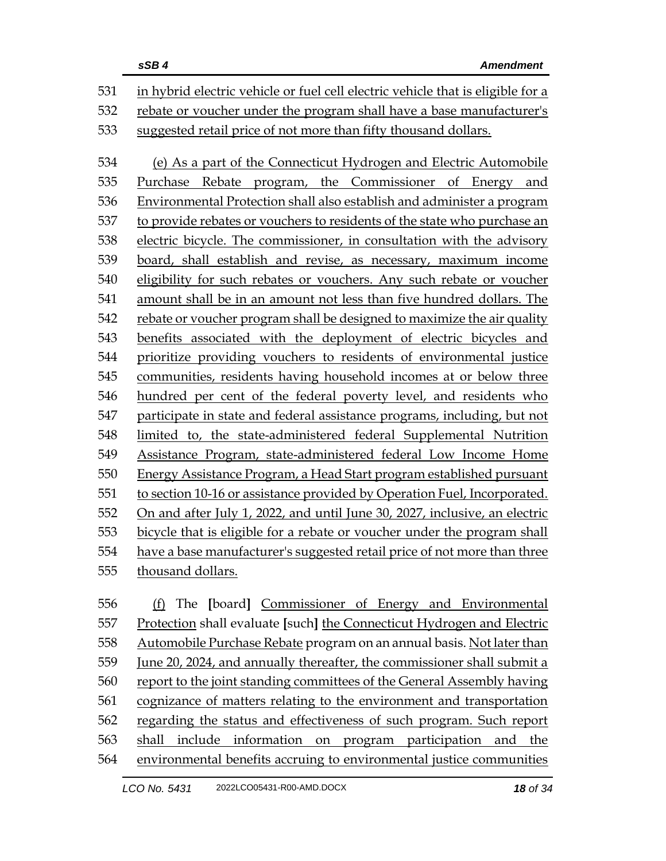|     | sSB4<br><b>Amendment</b>                                                        |
|-----|---------------------------------------------------------------------------------|
| 531 | in hybrid electric vehicle or fuel cell electric vehicle that is eligible for a |
| 532 | rebate or voucher under the program shall have a base manufacturer's            |
| 533 | suggested retail price of not more than fifty thousand dollars.                 |
| 534 | (e) As a part of the Connecticut Hydrogen and Electric Automobile               |
| 535 | Purchase Rebate program, the Commissioner of Energy and                         |
| 536 | Environmental Protection shall also establish and administer a program          |
| 537 | to provide rebates or vouchers to residents of the state who purchase an        |
| 538 | electric bicycle. The commissioner, in consultation with the advisory           |
| 539 | board, shall establish and revise, as necessary, maximum income                 |
| 540 | eligibility for such rebates or vouchers. Any such rebate or voucher            |
| 541 | amount shall be in an amount not less than five hundred dollars. The            |
| 542 | rebate or voucher program shall be designed to maximize the air quality         |
| 543 | benefits associated with the deployment of electric bicycles and                |
| 544 | prioritize providing vouchers to residents of environmental justice             |
| 545 | communities, residents having household incomes at or below three               |
| 546 | hundred per cent of the federal poverty level, and residents who                |
| 547 | participate in state and federal assistance programs, including, but not        |
| 548 | limited to, the state-administered federal Supplemental Nutrition               |
| 549 | Assistance Program, state-administered federal Low Income Home                  |
| 550 | Energy Assistance Program, a Head Start program established pursuant            |
| 551 | to section 10-16 or assistance provided by Operation Fuel, Incorporated.        |
| 552 | On and after July 1, 2022, and until June 30, 2027, inclusive, an electric      |
| 553 | bicycle that is eligible for a rebate or voucher under the program shall        |
| 554 | have a base manufacturer's suggested retail price of not more than three        |
| 555 | thousand dollars.                                                               |
| 556 | The [board] Commissioner of Energy and Environmental<br>(f)                     |
| 557 | Protection shall evaluate [such] the Connecticut Hydrogen and Electric          |
| 558 | Automobile Purchase Rebate program on an annual basis. Not later than           |
|     |                                                                                 |

559 June 20, 2024, and annually thereafter, the commissioner shall submit a report to the joint standing committees of the General Assembly having cognizance of matters relating to the environment and transportation regarding the status and effectiveness of such program. Such report shall include information on program participation and the environmental benefits accruing to environmental justice communities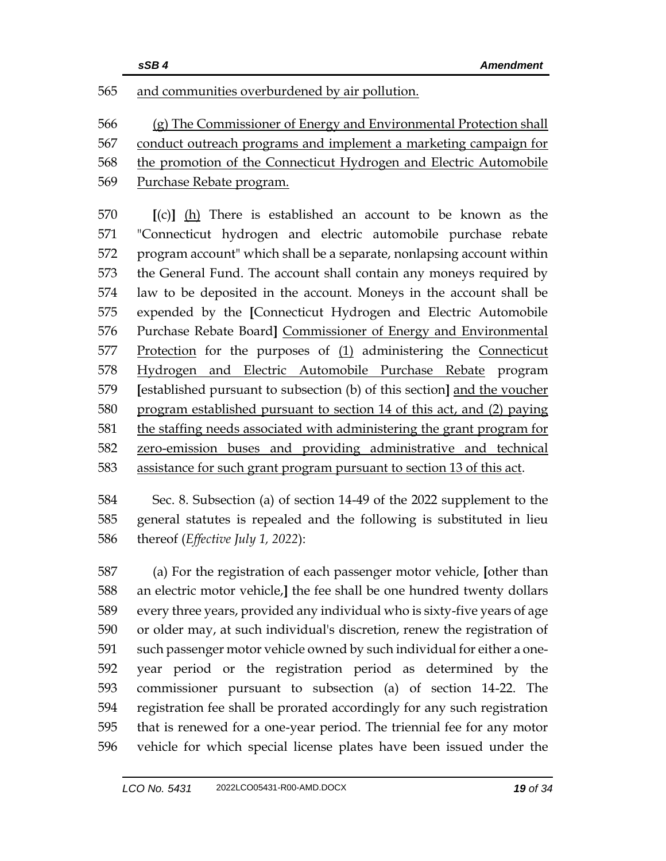## and communities overburdened by air pollution.

 (g) The Commissioner of Energy and Environmental Protection shall conduct outreach programs and implement a marketing campaign for the promotion of the Connecticut Hydrogen and Electric Automobile Purchase Rebate program.

 **[**(c)**]** (h) There is established an account to be known as the "Connecticut hydrogen and electric automobile purchase rebate program account" which shall be a separate, nonlapsing account within the General Fund. The account shall contain any moneys required by law to be deposited in the account. Moneys in the account shall be expended by the **[**Connecticut Hydrogen and Electric Automobile Purchase Rebate Board**]** Commissioner of Energy and Environmental Protection for the purposes of (1) administering the Connecticut Hydrogen and Electric Automobile Purchase Rebate program **[**established pursuant to subsection (b) of this section**]** and the voucher program established pursuant to section 14 of this act, and (2) paying the staffing needs associated with administering the grant program for zero-emission buses and providing administrative and technical assistance for such grant program pursuant to section 13 of this act.

 Sec. 8. Subsection (a) of section 14-49 of the 2022 supplement to the general statutes is repealed and the following is substituted in lieu thereof (*Effective July 1, 2022*):

 (a) For the registration of each passenger motor vehicle, **[**other than an electric motor vehicle,**]** the fee shall be one hundred twenty dollars every three years, provided any individual who is sixty-five years of age or older may, at such individual's discretion, renew the registration of such passenger motor vehicle owned by such individual for either a one- year period or the registration period as determined by the commissioner pursuant to subsection (a) of section 14-22. The registration fee shall be prorated accordingly for any such registration that is renewed for a one-year period. The triennial fee for any motor vehicle for which special license plates have been issued under the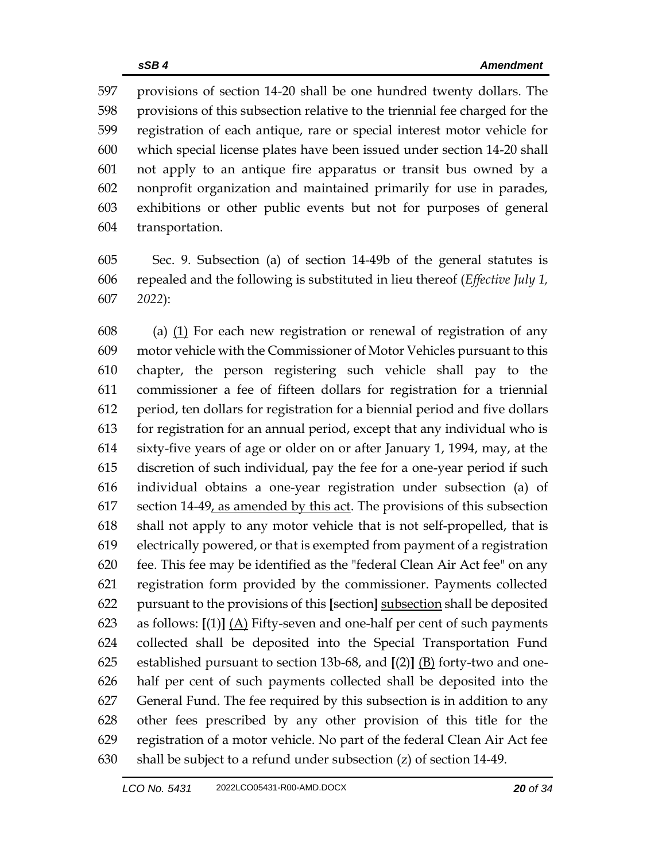provisions of section 14-20 shall be one hundred twenty dollars. The provisions of this subsection relative to the triennial fee charged for the registration of each antique, rare or special interest motor vehicle for which special license plates have been issued under section 14-20 shall not apply to an antique fire apparatus or transit bus owned by a nonprofit organization and maintained primarily for use in parades, exhibitions or other public events but not for purposes of general transportation.

 Sec. 9. Subsection (a) of section 14-49b of the general statutes is repealed and the following is substituted in lieu thereof (*Effective July 1, 2022*):

 (a) (1) For each new registration or renewal of registration of any motor vehicle with the Commissioner of Motor Vehicles pursuant to this chapter, the person registering such vehicle shall pay to the commissioner a fee of fifteen dollars for registration for a triennial period, ten dollars for registration for a biennial period and five dollars for registration for an annual period, except that any individual who is sixty-five years of age or older on or after January 1, 1994, may, at the discretion of such individual, pay the fee for a one-year period if such individual obtains a one-year registration under subsection (a) of 617 section 14-49, as amended by this act. The provisions of this subsection shall not apply to any motor vehicle that is not self-propelled, that is electrically powered, or that is exempted from payment of a registration fee. This fee may be identified as the "federal Clean Air Act fee" on any registration form provided by the commissioner. Payments collected pursuant to the provisions of this **[**section**]** subsection shall be deposited as follows: **[**(1)**]** (A) Fifty-seven and one-half per cent of such payments collected shall be deposited into the Special Transportation Fund established pursuant to section 13b-68, and **[**(2)**]** (B) forty-two and one- half per cent of such payments collected shall be deposited into the General Fund. The fee required by this subsection is in addition to any other fees prescribed by any other provision of this title for the registration of a motor vehicle. No part of the federal Clean Air Act fee shall be subject to a refund under subsection (z) of section 14-49.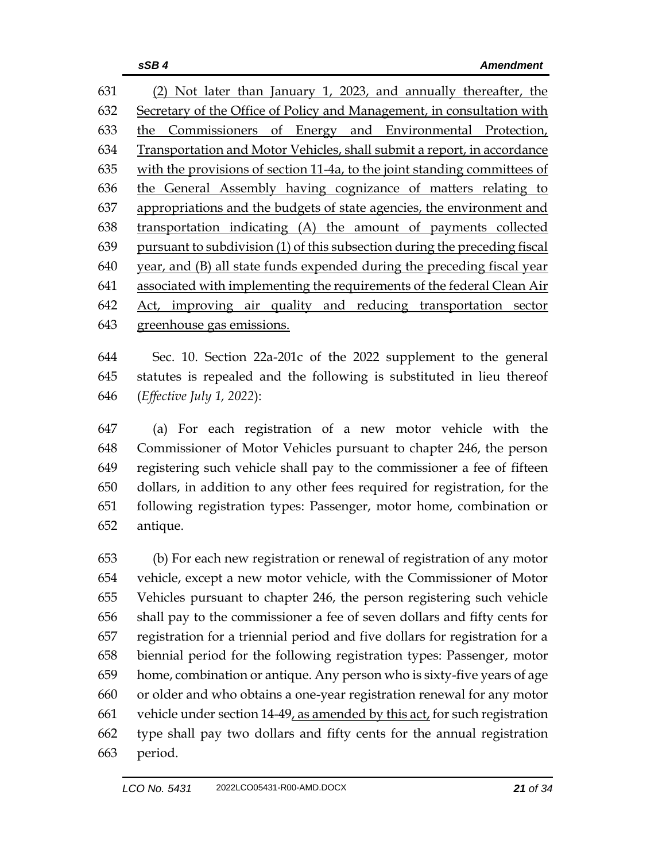(2) Not later than January 1, 2023, and annually thereafter, the Secretary of the Office of Policy and Management, in consultation with the Commissioners of Energy and Environmental Protection, Transportation and Motor Vehicles, shall submit a report, in accordance with the provisions of section 11-4a, to the joint standing committees of the General Assembly having cognizance of matters relating to appropriations and the budgets of state agencies, the environment and transportation indicating (A) the amount of payments collected pursuant to subdivision (1) of this subsection during the preceding fiscal year, and (B) all state funds expended during the preceding fiscal year associated with implementing the requirements of the federal Clean Air Act, improving air quality and reducing transportation sector greenhouse gas emissions.

 Sec. 10. Section 22a-201c of the 2022 supplement to the general statutes is repealed and the following is substituted in lieu thereof (*Effective July 1, 2022*):

 (a) For each registration of a new motor vehicle with the Commissioner of Motor Vehicles pursuant to chapter 246, the person registering such vehicle shall pay to the commissioner a fee of fifteen dollars, in addition to any other fees required for registration, for the following registration types: Passenger, motor home, combination or antique.

 (b) For each new registration or renewal of registration of any motor vehicle, except a new motor vehicle, with the Commissioner of Motor Vehicles pursuant to chapter 246, the person registering such vehicle shall pay to the commissioner a fee of seven dollars and fifty cents for registration for a triennial period and five dollars for registration for a biennial period for the following registration types: Passenger, motor home, combination or antique. Any person who is sixty-five years of age or older and who obtains a one-year registration renewal for any motor vehicle under section 14-49, as amended by this act, for such registration type shall pay two dollars and fifty cents for the annual registration period.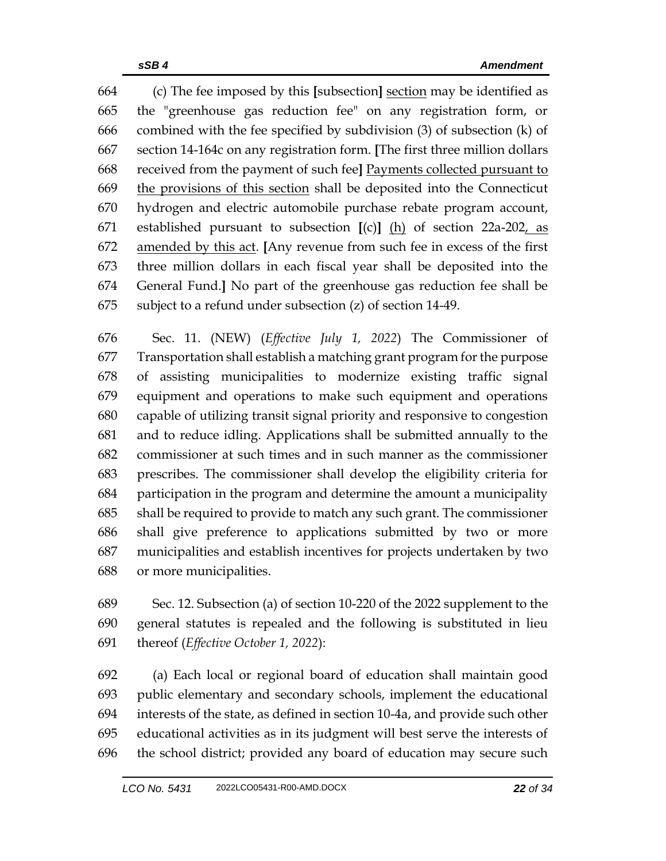(c) The fee imposed by this **[**subsection**]** section may be identified as the "greenhouse gas reduction fee" on any registration form, or combined with the fee specified by subdivision (3) of subsection (k) of section 14-164c on any registration form. **[**The first three million dollars received from the payment of such fee**]** Payments collected pursuant to the provisions of this section shall be deposited into the Connecticut hydrogen and electric automobile purchase rebate program account, established pursuant to subsection **[**(c)**]** (h) of section 22a-202, as amended by this act. **[**Any revenue from such fee in excess of the first three million dollars in each fiscal year shall be deposited into the General Fund.**]** No part of the greenhouse gas reduction fee shall be subject to a refund under subsection (z) of section 14-49.

 Sec. 11. (NEW) (*Effective July 1, 2022*) The Commissioner of Transportation shall establish a matching grant program for the purpose of assisting municipalities to modernize existing traffic signal equipment and operations to make such equipment and operations capable of utilizing transit signal priority and responsive to congestion and to reduce idling. Applications shall be submitted annually to the commissioner at such times and in such manner as the commissioner prescribes. The commissioner shall develop the eligibility criteria for participation in the program and determine the amount a municipality shall be required to provide to match any such grant. The commissioner shall give preference to applications submitted by two or more municipalities and establish incentives for projects undertaken by two or more municipalities.

 Sec. 12. Subsection (a) of section 10-220 of the 2022 supplement to the general statutes is repealed and the following is substituted in lieu thereof (*Effective October 1, 2022*):

 (a) Each local or regional board of education shall maintain good public elementary and secondary schools, implement the educational interests of the state, as defined in section 10-4a, and provide such other educational activities as in its judgment will best serve the interests of the school district; provided any board of education may secure such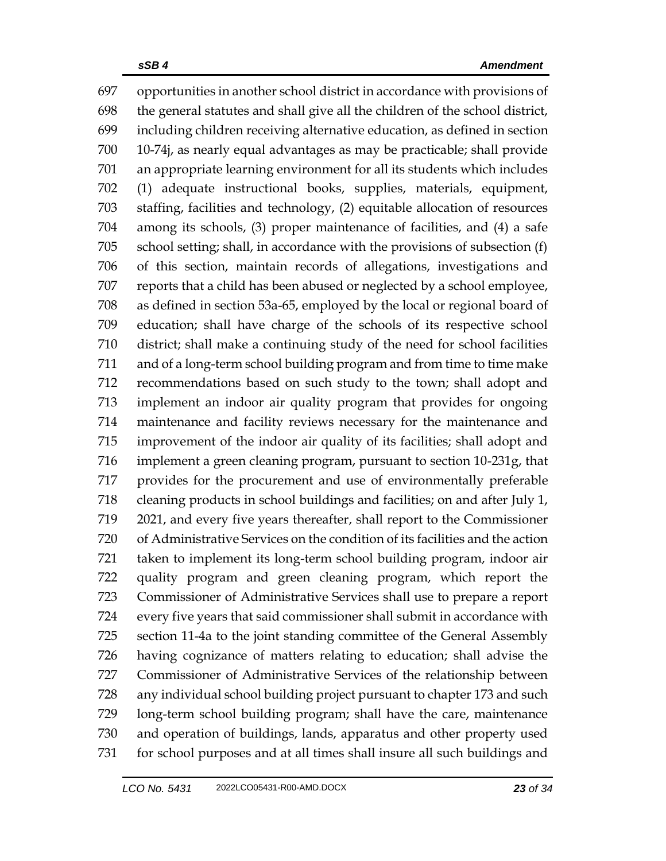opportunities in another school district in accordance with provisions of the general statutes and shall give all the children of the school district, including children receiving alternative education, as defined in section 10-74j, as nearly equal advantages as may be practicable; shall provide an appropriate learning environment for all its students which includes (1) adequate instructional books, supplies, materials, equipment, staffing, facilities and technology, (2) equitable allocation of resources among its schools, (3) proper maintenance of facilities, and (4) a safe school setting; shall, in accordance with the provisions of subsection (f) of this section, maintain records of allegations, investigations and reports that a child has been abused or neglected by a school employee, as defined in section 53a-65, employed by the local or regional board of education; shall have charge of the schools of its respective school district; shall make a continuing study of the need for school facilities and of a long-term school building program and from time to time make recommendations based on such study to the town; shall adopt and implement an indoor air quality program that provides for ongoing maintenance and facility reviews necessary for the maintenance and improvement of the indoor air quality of its facilities; shall adopt and implement a green cleaning program, pursuant to section 10-231g, that provides for the procurement and use of environmentally preferable cleaning products in school buildings and facilities; on and after July 1, 2021, and every five years thereafter, shall report to the Commissioner of Administrative Services on the condition of its facilities and the action taken to implement its long-term school building program, indoor air quality program and green cleaning program, which report the Commissioner of Administrative Services shall use to prepare a report every five years that said commissioner shall submit in accordance with section 11-4a to the joint standing committee of the General Assembly having cognizance of matters relating to education; shall advise the Commissioner of Administrative Services of the relationship between any individual school building project pursuant to chapter 173 and such long-term school building program; shall have the care, maintenance and operation of buildings, lands, apparatus and other property used for school purposes and at all times shall insure all such buildings and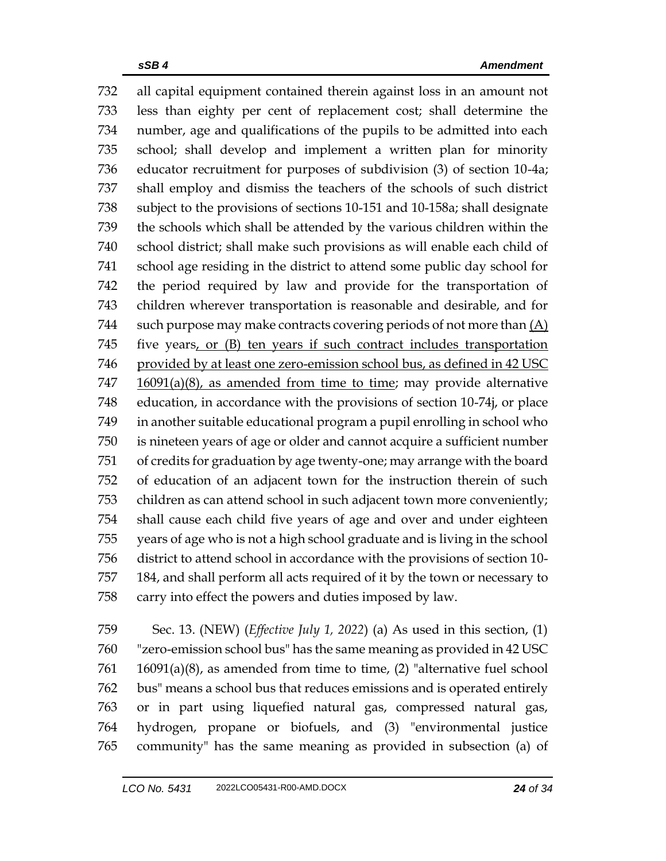all capital equipment contained therein against loss in an amount not less than eighty per cent of replacement cost; shall determine the number, age and qualifications of the pupils to be admitted into each school; shall develop and implement a written plan for minority educator recruitment for purposes of subdivision (3) of section 10-4a; shall employ and dismiss the teachers of the schools of such district subject to the provisions of sections 10-151 and 10-158a; shall designate the schools which shall be attended by the various children within the school district; shall make such provisions as will enable each child of school age residing in the district to attend some public day school for the period required by law and provide for the transportation of children wherever transportation is reasonable and desirable, and for 744 such purpose may make contracts covering periods of not more than  $(A)$ 745 five years, or (B) ten years if such contract includes transportation 746 provided by at least one zero-emission school bus, as defined in 42 USC 16091(a)(8), as amended from time to time; may provide alternative education, in accordance with the provisions of section 10-74j, or place in another suitable educational program a pupil enrolling in school who is nineteen years of age or older and cannot acquire a sufficient number of credits for graduation by age twenty-one; may arrange with the board of education of an adjacent town for the instruction therein of such children as can attend school in such adjacent town more conveniently; shall cause each child five years of age and over and under eighteen years of age who is not a high school graduate and is living in the school district to attend school in accordance with the provisions of section 10- 184, and shall perform all acts required of it by the town or necessary to carry into effect the powers and duties imposed by law.

 Sec. 13. (NEW) (*Effective July 1, 2022*) (a) As used in this section, (1) "zero-emission school bus" has the same meaning as provided in 42 USC 16091(a)(8), as amended from time to time, (2) "alternative fuel school bus" means a school bus that reduces emissions and is operated entirely or in part using liquefied natural gas, compressed natural gas, hydrogen, propane or biofuels, and (3) "environmental justice community" has the same meaning as provided in subsection (a) of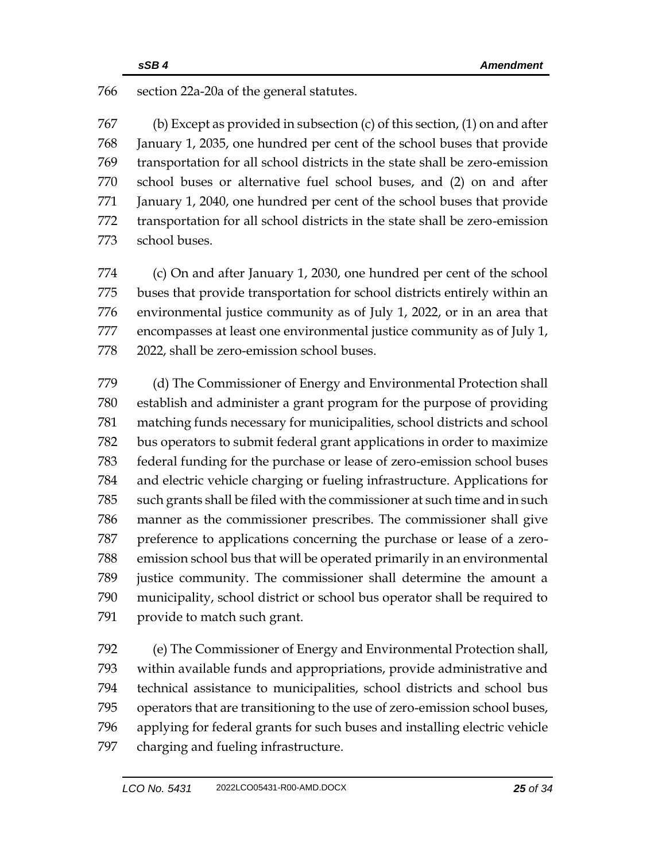section 22a-20a of the general statutes.

 (b) Except as provided in subsection (c) of this section, (1) on and after January 1, 2035, one hundred per cent of the school buses that provide transportation for all school districts in the state shall be zero-emission school buses or alternative fuel school buses, and (2) on and after January 1, 2040, one hundred per cent of the school buses that provide transportation for all school districts in the state shall be zero-emission school buses.

 (c) On and after January 1, 2030, one hundred per cent of the school buses that provide transportation for school districts entirely within an environmental justice community as of July 1, 2022, or in an area that encompasses at least one environmental justice community as of July 1, 2022, shall be zero-emission school buses.

 (d) The Commissioner of Energy and Environmental Protection shall establish and administer a grant program for the purpose of providing matching funds necessary for municipalities, school districts and school bus operators to submit federal grant applications in order to maximize federal funding for the purchase or lease of zero-emission school buses and electric vehicle charging or fueling infrastructure. Applications for such grants shall be filed with the commissioner at such time and in such manner as the commissioner prescribes. The commissioner shall give preference to applications concerning the purchase or lease of a zero- emission school bus that will be operated primarily in an environmental justice community. The commissioner shall determine the amount a municipality, school district or school bus operator shall be required to provide to match such grant.

 (e) The Commissioner of Energy and Environmental Protection shall, within available funds and appropriations, provide administrative and technical assistance to municipalities, school districts and school bus operators that are transitioning to the use of zero-emission school buses, applying for federal grants for such buses and installing electric vehicle charging and fueling infrastructure.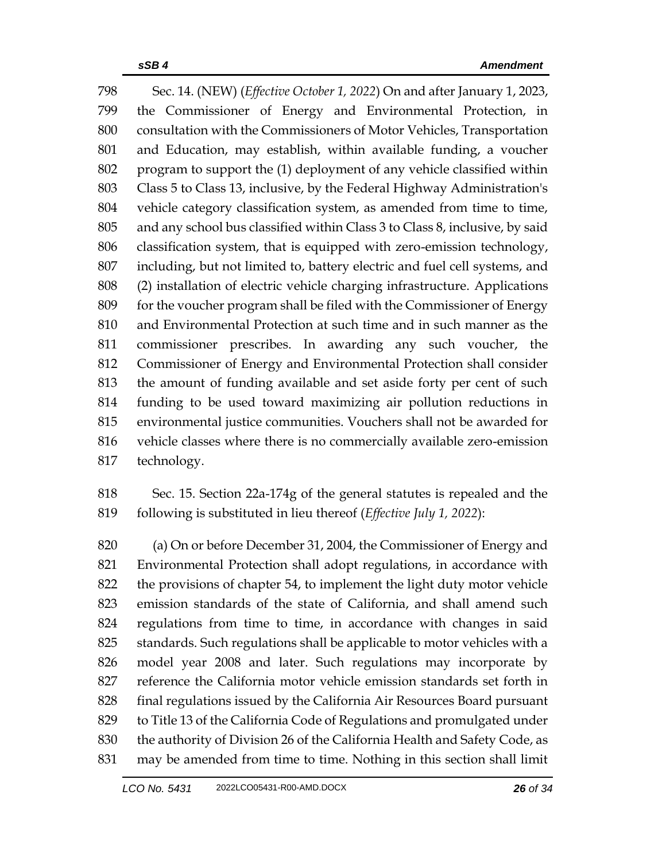Sec. 14. (NEW) (*Effective October 1, 2022*) On and after January 1, 2023, the Commissioner of Energy and Environmental Protection, in consultation with the Commissioners of Motor Vehicles, Transportation and Education, may establish, within available funding, a voucher program to support the (1) deployment of any vehicle classified within Class 5 to Class 13, inclusive, by the Federal Highway Administration's vehicle category classification system, as amended from time to time, and any school bus classified within Class 3 to Class 8, inclusive, by said classification system, that is equipped with zero-emission technology, including, but not limited to, battery electric and fuel cell systems, and (2) installation of electric vehicle charging infrastructure. Applications for the voucher program shall be filed with the Commissioner of Energy and Environmental Protection at such time and in such manner as the commissioner prescribes. In awarding any such voucher, the Commissioner of Energy and Environmental Protection shall consider the amount of funding available and set aside forty per cent of such funding to be used toward maximizing air pollution reductions in environmental justice communities. Vouchers shall not be awarded for vehicle classes where there is no commercially available zero-emission technology.

 Sec. 15. Section 22a-174g of the general statutes is repealed and the following is substituted in lieu thereof (*Effective July 1, 2022*):

 (a) On or before December 31, 2004, the Commissioner of Energy and Environmental Protection shall adopt regulations, in accordance with the provisions of chapter 54, to implement the light duty motor vehicle emission standards of the state of California, and shall amend such regulations from time to time, in accordance with changes in said standards. Such regulations shall be applicable to motor vehicles with a model year 2008 and later. Such regulations may incorporate by reference the California motor vehicle emission standards set forth in final regulations issued by the California Air Resources Board pursuant to Title 13 of the California Code of Regulations and promulgated under the authority of Division 26 of the California Health and Safety Code, as may be amended from time to time. Nothing in this section shall limit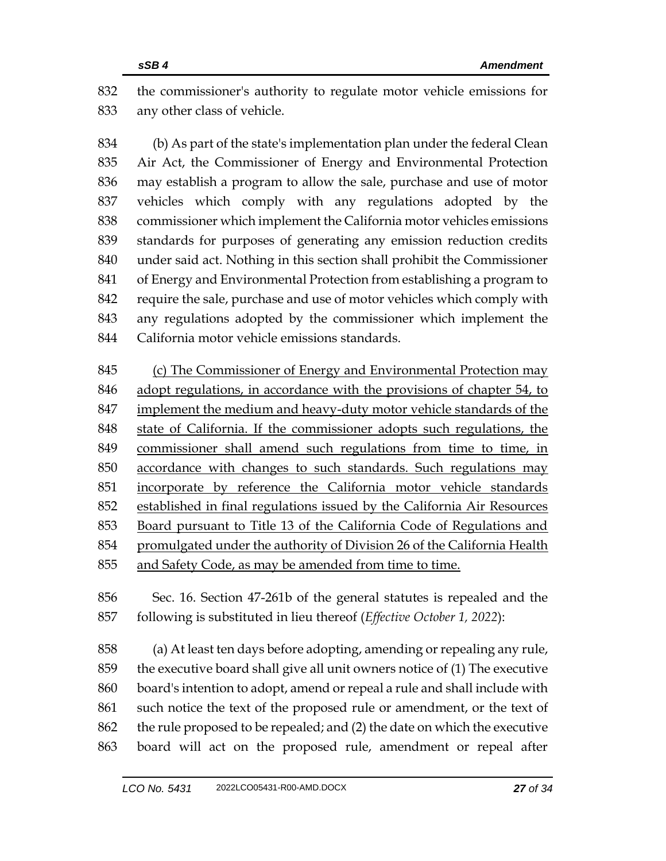the commissioner's authority to regulate motor vehicle emissions for any other class of vehicle.

 (b) As part of the state's implementation plan under the federal Clean Air Act, the Commissioner of Energy and Environmental Protection may establish a program to allow the sale, purchase and use of motor vehicles which comply with any regulations adopted by the commissioner which implement the California motor vehicles emissions standards for purposes of generating any emission reduction credits under said act. Nothing in this section shall prohibit the Commissioner of Energy and Environmental Protection from establishing a program to require the sale, purchase and use of motor vehicles which comply with any regulations adopted by the commissioner which implement the California motor vehicle emissions standards.

 (c) The Commissioner of Energy and Environmental Protection may adopt regulations, in accordance with the provisions of chapter 54, to implement the medium and heavy-duty motor vehicle standards of the state of California. If the commissioner adopts such regulations, the commissioner shall amend such regulations from time to time, in accordance with changes to such standards. Such regulations may incorporate by reference the California motor vehicle standards established in final regulations issued by the California Air Resources Board pursuant to Title 13 of the California Code of Regulations and promulgated under the authority of Division 26 of the California Health and Safety Code, as may be amended from time to time.

 Sec. 16. Section 47-261b of the general statutes is repealed and the following is substituted in lieu thereof (*Effective October 1, 2022*):

 (a) At least ten days before adopting, amending or repealing any rule, the executive board shall give all unit owners notice of (1) The executive board's intention to adopt, amend or repeal a rule and shall include with such notice the text of the proposed rule or amendment, or the text of the rule proposed to be repealed; and (2) the date on which the executive board will act on the proposed rule, amendment or repeal after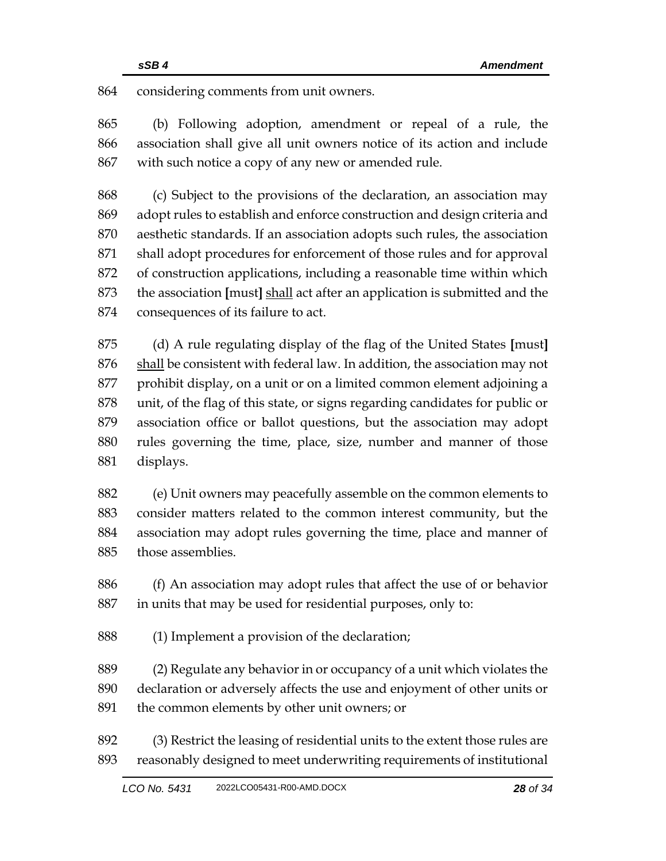considering comments from unit owners.

 (b) Following adoption, amendment or repeal of a rule, the association shall give all unit owners notice of its action and include with such notice a copy of any new or amended rule.

 (c) Subject to the provisions of the declaration, an association may adopt rules to establish and enforce construction and design criteria and aesthetic standards. If an association adopts such rules, the association shall adopt procedures for enforcement of those rules and for approval of construction applications, including a reasonable time within which the association **[**must**]** shall act after an application is submitted and the consequences of its failure to act.

 (d) A rule regulating display of the flag of the United States **[**must**]** 876 shall be consistent with federal law. In addition, the association may not prohibit display, on a unit or on a limited common element adjoining a unit, of the flag of this state, or signs regarding candidates for public or association office or ballot questions, but the association may adopt rules governing the time, place, size, number and manner of those displays.

 (e) Unit owners may peacefully assemble on the common elements to consider matters related to the common interest community, but the association may adopt rules governing the time, place and manner of those assemblies.

 (f) An association may adopt rules that affect the use of or behavior in units that may be used for residential purposes, only to:

(1) Implement a provision of the declaration;

 (2) Regulate any behavior in or occupancy of a unit which violates the declaration or adversely affects the use and enjoyment of other units or the common elements by other unit owners; or

 (3) Restrict the leasing of residential units to the extent those rules are reasonably designed to meet underwriting requirements of institutional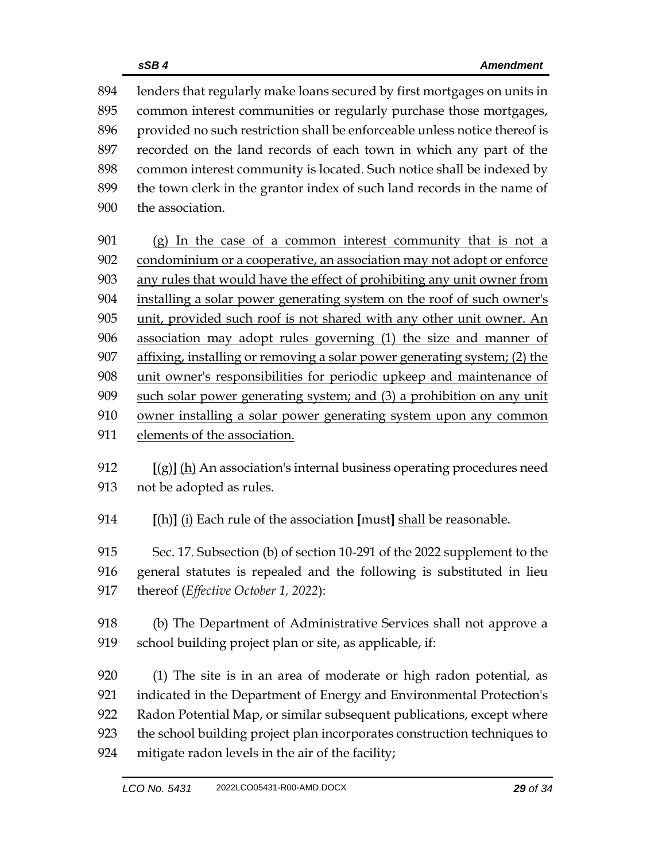lenders that regularly make loans secured by first mortgages on units in common interest communities or regularly purchase those mortgages, provided no such restriction shall be enforceable unless notice thereof is recorded on the land records of each town in which any part of the common interest community is located. Such notice shall be indexed by the town clerk in the grantor index of such land records in the name of the association.

 (g) In the case of a common interest community that is not a condominium or a cooperative, an association may not adopt or enforce any rules that would have the effect of prohibiting any unit owner from installing a solar power generating system on the roof of such owner's unit, provided such roof is not shared with any other unit owner. An association may adopt rules governing (1) the size and manner of affixing, installing or removing a solar power generating system; (2) the unit owner's responsibilities for periodic upkeep and maintenance of such solar power generating system; and (3) a prohibition on any unit owner installing a solar power generating system upon any common elements of the association.

 **[**(g)**]** (h) An association's internal business operating procedures need not be adopted as rules.

**[**(h)**]** (i) Each rule of the association **[**must**]** shall be reasonable.

 Sec. 17. Subsection (b) of section 10-291 of the 2022 supplement to the general statutes is repealed and the following is substituted in lieu thereof (*Effective October 1, 2022*):

 (b) The Department of Administrative Services shall not approve a school building project plan or site, as applicable, if:

 (1) The site is in an area of moderate or high radon potential, as indicated in the Department of Energy and Environmental Protection's Radon Potential Map, or similar subsequent publications, except where the school building project plan incorporates construction techniques to mitigate radon levels in the air of the facility;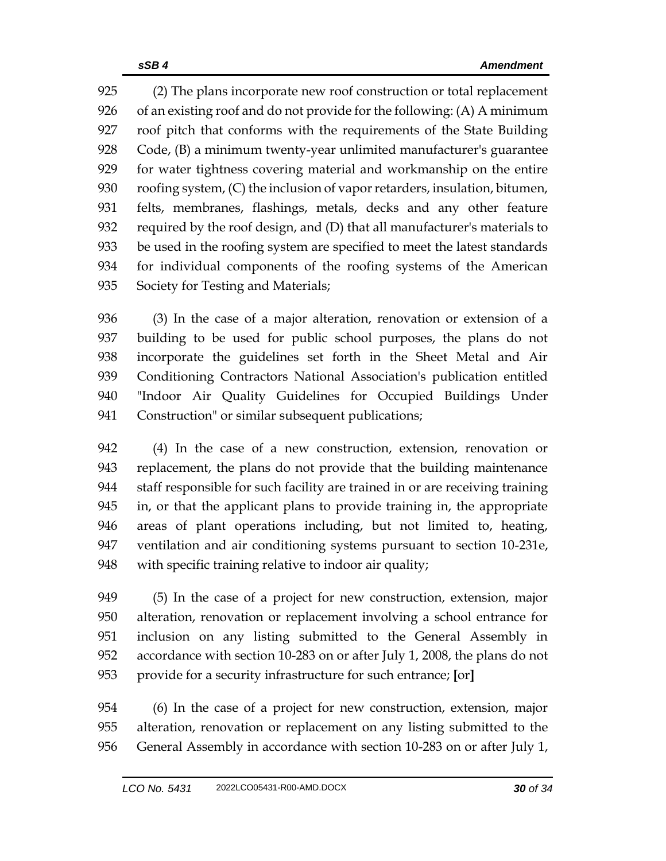(2) The plans incorporate new roof construction or total replacement of an existing roof and do not provide for the following: (A) A minimum roof pitch that conforms with the requirements of the State Building Code, (B) a minimum twenty-year unlimited manufacturer's guarantee for water tightness covering material and workmanship on the entire roofing system, (C) the inclusion of vapor retarders, insulation, bitumen, felts, membranes, flashings, metals, decks and any other feature required by the roof design, and (D) that all manufacturer's materials to be used in the roofing system are specified to meet the latest standards for individual components of the roofing systems of the American Society for Testing and Materials;

 (3) In the case of a major alteration, renovation or extension of a building to be used for public school purposes, the plans do not incorporate the guidelines set forth in the Sheet Metal and Air Conditioning Contractors National Association's publication entitled "Indoor Air Quality Guidelines for Occupied Buildings Under 941 Construction" or similar subsequent publications;

 (4) In the case of a new construction, extension, renovation or replacement, the plans do not provide that the building maintenance staff responsible for such facility are trained in or are receiving training in, or that the applicant plans to provide training in, the appropriate areas of plant operations including, but not limited to, heating, ventilation and air conditioning systems pursuant to section 10-231e, with specific training relative to indoor air quality;

 (5) In the case of a project for new construction, extension, major alteration, renovation or replacement involving a school entrance for inclusion on any listing submitted to the General Assembly in accordance with section 10-283 on or after July 1, 2008, the plans do not provide for a security infrastructure for such entrance; **[**or**]**

 (6) In the case of a project for new construction, extension, major alteration, renovation or replacement on any listing submitted to the General Assembly in accordance with section 10-283 on or after July 1,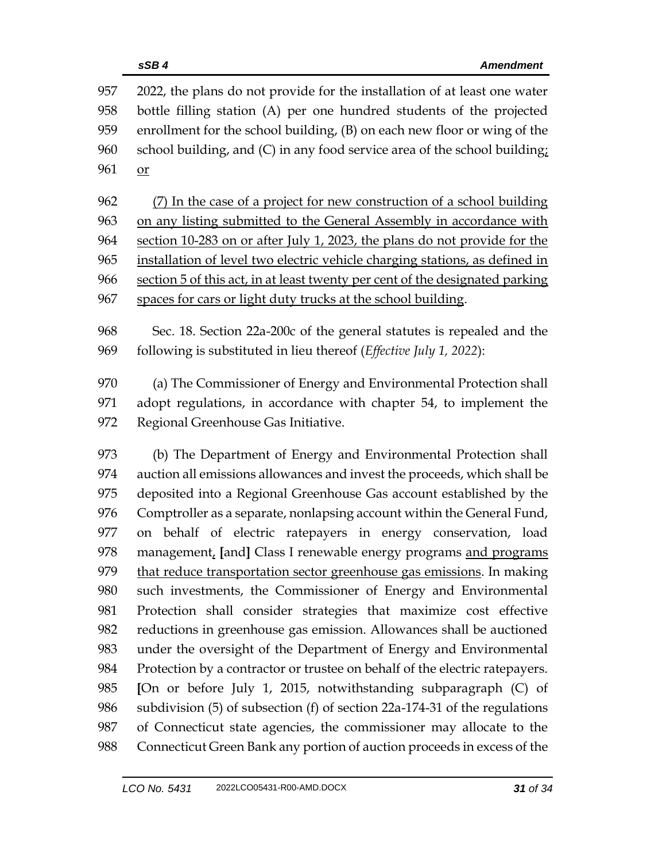2022, the plans do not provide for the installation of at least one water bottle filling station (A) per one hundred students of the projected enrollment for the school building, (B) on each new floor or wing of the school building, and (C) in any food service area of the school building; 961 or (7) In the case of a project for new construction of a school building on any listing submitted to the General Assembly in accordance with section 10-283 on or after July 1, 2023, the plans do not provide for the installation of level two electric vehicle charging stations, as defined in section 5 of this act, in at least twenty per cent of the designated parking spaces for cars or light duty trucks at the school building. Sec. 18. Section 22a-200c of the general statutes is repealed and the following is substituted in lieu thereof (*Effective July 1, 2022*): (a) The Commissioner of Energy and Environmental Protection shall adopt regulations, in accordance with chapter 54, to implement the Regional Greenhouse Gas Initiative. (b) The Department of Energy and Environmental Protection shall auction all emissions allowances and invest the proceeds, which shall be deposited into a Regional Greenhouse Gas account established by the Comptroller as a separate, nonlapsing account within the General Fund, on behalf of electric ratepayers in energy conservation, load management, **[**and**]** Class I renewable energy programs and programs 979 that reduce transportation sector greenhouse gas emissions. In making such investments, the Commissioner of Energy and Environmental Protection shall consider strategies that maximize cost effective reductions in greenhouse gas emission. Allowances shall be auctioned under the oversight of the Department of Energy and Environmental Protection by a contractor or trustee on behalf of the electric ratepayers. **[**On or before July 1, 2015, notwithstanding subparagraph (C) of subdivision (5) of subsection (f) of section 22a-174-31 of the regulations of Connecticut state agencies, the commissioner may allocate to the Connecticut Green Bank any portion of auction proceeds in excess of the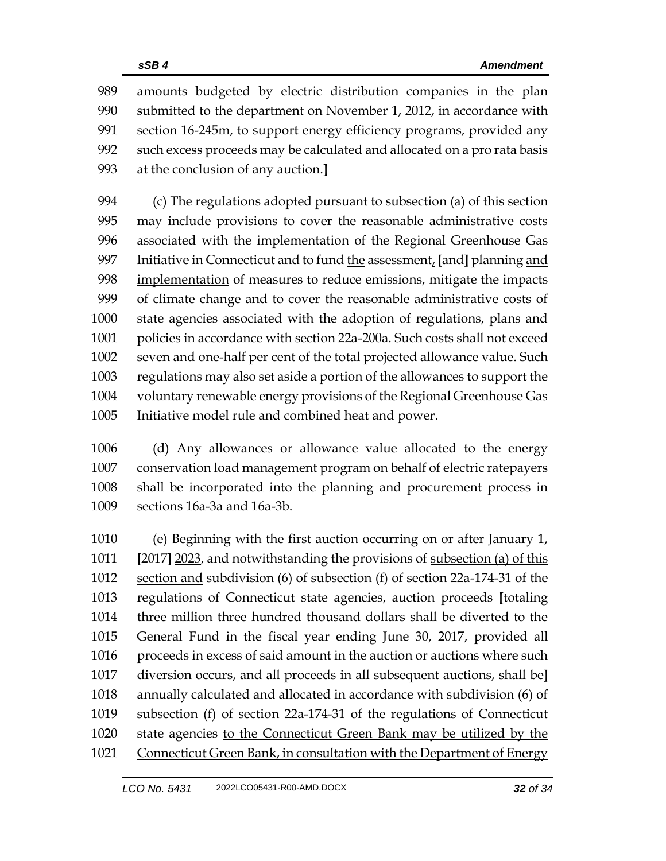amounts budgeted by electric distribution companies in the plan submitted to the department on November 1, 2012, in accordance with section 16-245m, to support energy efficiency programs, provided any such excess proceeds may be calculated and allocated on a pro rata basis at the conclusion of any auction.**]**

 (c) The regulations adopted pursuant to subsection (a) of this section may include provisions to cover the reasonable administrative costs associated with the implementation of the Regional Greenhouse Gas Initiative in Connecticut and to fund the assessment, **[**and**]** planning and implementation of measures to reduce emissions, mitigate the impacts of climate change and to cover the reasonable administrative costs of state agencies associated with the adoption of regulations, plans and policies in accordance with section 22a-200a. Such costs shall not exceed seven and one-half per cent of the total projected allowance value. Such regulations may also set aside a portion of the allowances to support the voluntary renewable energy provisions of the Regional Greenhouse Gas Initiative model rule and combined heat and power.

 (d) Any allowances or allowance value allocated to the energy conservation load management program on behalf of electric ratepayers shall be incorporated into the planning and procurement process in sections 16a-3a and 16a-3b.

 (e) Beginning with the first auction occurring on or after January 1, **[**2017**]** 2023, and notwithstanding the provisions of subsection (a) of this section and subdivision (6) of subsection (f) of section 22a-174-31 of the regulations of Connecticut state agencies, auction proceeds **[**totaling three million three hundred thousand dollars shall be diverted to the General Fund in the fiscal year ending June 30, 2017, provided all 1016 proceeds in excess of said amount in the auction or auctions where such diversion occurs, and all proceeds in all subsequent auctions, shall be**]** annually calculated and allocated in accordance with subdivision (6) of subsection (f) of section 22a-174-31 of the regulations of Connecticut state agencies to the Connecticut Green Bank may be utilized by the Connecticut Green Bank, in consultation with the Department of Energy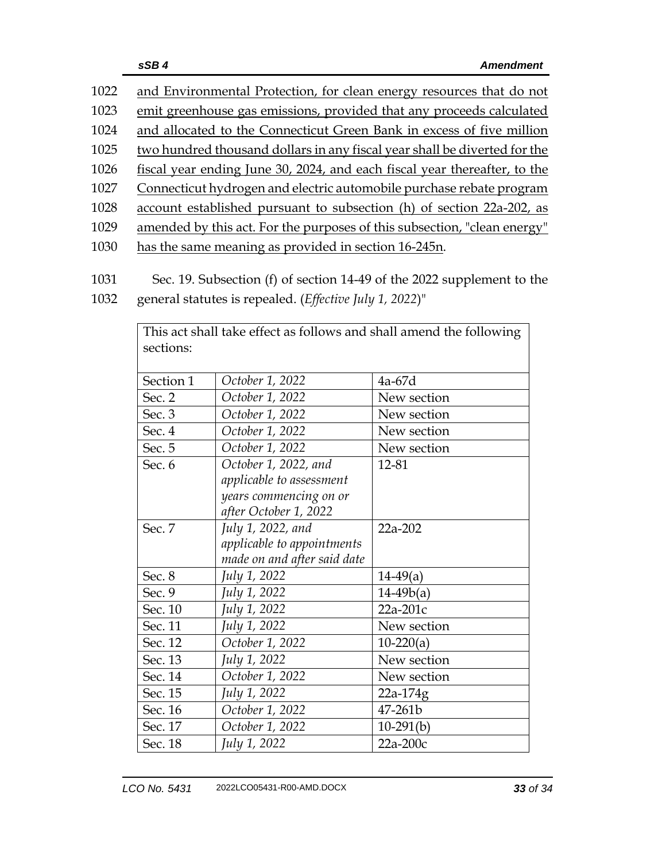| 1022 | and Environmental Protection, for clean energy resources that do not      |
|------|---------------------------------------------------------------------------|
| 1023 | emit greenhouse gas emissions, provided that any proceeds calculated      |
| 1024 | and allocated to the Connecticut Green Bank in excess of five million     |
| 1025 | two hundred thousand dollars in any fiscal year shall be diverted for the |
| 1026 | fiscal year ending June 30, 2024, and each fiscal year thereafter, to the |
| 1027 | Connecticut hydrogen and electric automobile purchase rebate program      |
| 1028 | account established pursuant to subsection (h) of section 22a-202, as     |
| 1029 | amended by this act. For the purposes of this subsection, "clean energy"  |
| 1030 | has the same meaning as provided in section 16-245n.                      |

- 1031 Sec. 19. Subsection (f) of section 14-49 of the 2022 supplement to the
- 1032 general statutes is repealed. (*Effective July 1, 2022*)"

|           | This act shall take effect as follows and shall amend the following |             |
|-----------|---------------------------------------------------------------------|-------------|
| sections: |                                                                     |             |
|           |                                                                     |             |
| Section 1 | October 1, 2022                                                     | $4a-67d$    |
| Sec. 2    | October 1, 2022                                                     | New section |
| Sec. 3    | October 1, 2022                                                     | New section |
| Sec. 4    | October 1, 2022                                                     | New section |
| Sec. 5    | October 1, 2022                                                     | New section |
| Sec. 6    | October 1, 2022, and                                                | 12-81       |
|           | applicable to assessment                                            |             |
|           | years commencing on or                                              |             |
|           | after October 1, 2022                                               |             |
| Sec. 7    | July 1, 2022, and                                                   | 22a-202     |
|           | applicable to appointments                                          |             |
|           | made on and after said date                                         |             |
| Sec. 8    | July 1, 2022                                                        | $14-49(a)$  |
| Sec. 9    | July 1, 2022                                                        | $14-49b(a)$ |
| Sec. 10   | July 1, 2022                                                        | 22a-201c    |
| Sec. 11   | July 1, 2022                                                        | New section |
| Sec. 12   | October 1, 2022                                                     | $10-220(a)$ |
| Sec. 13   | July 1, 2022                                                        | New section |
| Sec. 14   | October 1, 2022                                                     | New section |
| Sec. 15   | July 1, 2022                                                        | $22a-174g$  |
| Sec. 16   | October 1, 2022                                                     | 47-261b     |
| Sec. 17   | October 1, 2022                                                     | $10-291(b)$ |
| Sec. 18   | July 1, 2022                                                        | $22a-200c$  |